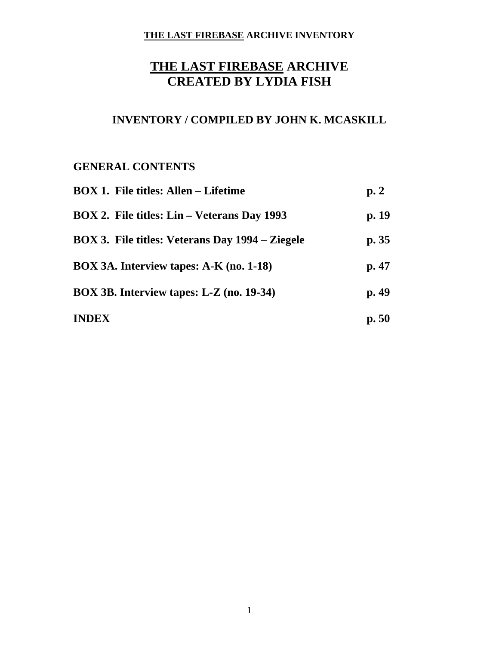# **THE LAST FIREBASE ARCHIVE CREATED BY LYDIA FISH**

# **INVENTORY / COMPILED BY JOHN K. MCASKILL**

# **GENERAL CONTENTS**

| <b>BOX 1. File titles: Allen – Lifetime</b>        | p.2   |
|----------------------------------------------------|-------|
| <b>BOX 2. File titles: Lin – Veterans Day 1993</b> | p. 19 |
| BOX 3. File titles: Veterans Day 1994 – Ziegele    | p.35  |
| BOX 3A. Interview tapes: A-K (no. 1-18)            | p.47  |
| BOX 3B. Interview tapes: L-Z (no. 19-34)           | p.49  |
| <b>INDEX</b>                                       | p.50  |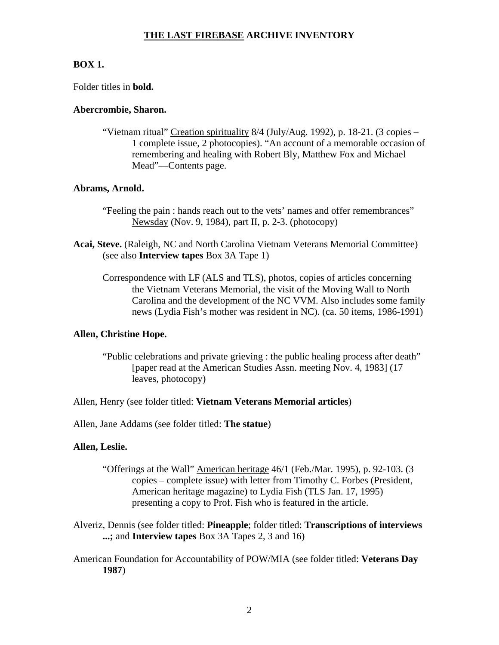## **BOX 1.**

Folder titles in **bold.**

## **Abercrombie, Sharon.**

"Vietnam ritual" Creation spirituality 8/4 (July/Aug. 1992), p. 18-21. (3 copies – 1 complete issue, 2 photocopies). "An account of a memorable occasion of remembering and healing with Robert Bly, Matthew Fox and Michael Mead"—Contents page.

## **Abrams, Arnold.**

- "Feeling the pain : hands reach out to the vets' names and offer remembrances" Newsday (Nov. 9, 1984), part II, p. 2-3. (photocopy)
- **Acai, Steve.** (Raleigh, NC and North Carolina Vietnam Veterans Memorial Committee) (see also **Interview tapes** Box 3A Tape 1)
	- Correspondence with LF (ALS and TLS), photos, copies of articles concerning the Vietnam Veterans Memorial, the visit of the Moving Wall to North Carolina and the development of the NC VVM. Also includes some family news (Lydia Fish's mother was resident in NC). (ca. 50 items, 1986-1991)

## **Allen, Christine Hope.**

"Public celebrations and private grieving : the public healing process after death" [paper read at the American Studies Assn. meeting Nov. 4, 1983] (17 leaves, photocopy)

## Allen, Henry (see folder titled: **Vietnam Veterans Memorial articles**)

Allen, Jane Addams (see folder titled: **The statue**)

## **Allen, Leslie.**

- "Offerings at the Wall" American heritage 46/1 (Feb./Mar. 1995), p. 92-103. (3 copies – complete issue) with letter from Timothy C. Forbes (President, American heritage magazine) to Lydia Fish (TLS Jan. 17, 1995) presenting a copy to Prof. Fish who is featured in the article.
- Alveriz, Dennis (see folder titled: **Pineapple**; folder titled: **Transcriptions of interviews ...;** and **Interview tapes** Box 3A Tapes 2, 3 and 16)
- American Foundation for Accountability of POW/MIA (see folder titled: **Veterans Day 1987**)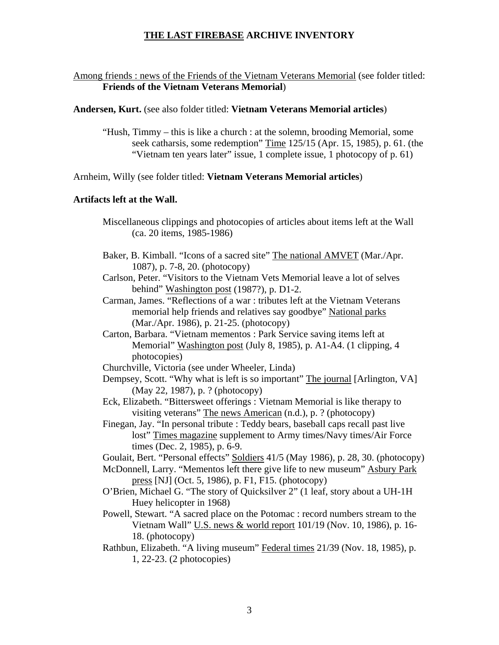## Among friends : news of the Friends of the Vietnam Veterans Memorial (see folder titled: **Friends of the Vietnam Veterans Memorial**)

#### **Andersen, Kurt.** (see also folder titled: **Vietnam Veterans Memorial articles**)

"Hush, Timmy – this is like a church : at the solemn, brooding Memorial, some seek catharsis, some redemption" Time 125/15 (Apr. 15, 1985), p. 61. (the "Vietnam ten years later" issue, 1 complete issue, 1 photocopy of p. 61)

#### Arnheim, Willy (see folder titled: **Vietnam Veterans Memorial articles**)

### **Artifacts left at the Wall.**

- Miscellaneous clippings and photocopies of articles about items left at the Wall (ca. 20 items, 1985-1986)
- Baker, B. Kimball. "Icons of a sacred site" The national AMVET (Mar./Apr. 1087), p. 7-8, 20. (photocopy)
- Carlson, Peter. "Visitors to the Vietnam Vets Memorial leave a lot of selves behind" Washington post (1987?), p. D1-2.
- Carman, James. "Reflections of a war : tributes left at the Vietnam Veterans memorial help friends and relatives say goodbye" National parks (Mar./Apr. 1986), p. 21-25. (photocopy)
- Carton, Barbara. "Vietnam mementos : Park Service saving items left at Memorial" Washington post (July 8, 1985), p. A1-A4. (1 clipping, 4 photocopies)
- Churchville, Victoria (see under Wheeler, Linda)
- Dempsey, Scott. "Why what is left is so important" The journal [Arlington, VA] (May 22, 1987), p. ? (photocopy)
- Eck, Elizabeth. "Bittersweet offerings : Vietnam Memorial is like therapy to visiting veterans" The news American (n.d.), p. ? (photocopy)
- Finegan, Jay. "In personal tribute : Teddy bears, baseball caps recall past live lost" Times magazine supplement to Army times/Navy times/Air Force times (Dec. 2, 1985), p. 6-9.
- Goulait, Bert. "Personal effects" Soldiers 41/5 (May 1986), p. 28, 30. (photocopy)
- McDonnell, Larry. "Mementos left there give life to new museum" Asbury Park press [NJ] (Oct. 5, 1986), p. F1, F15. (photocopy)
- O'Brien, Michael G. "The story of Quicksilver 2" (1 leaf, story about a UH-1H Huey helicopter in 1968)
- Powell, Stewart. "A sacred place on the Potomac : record numbers stream to the Vietnam Wall" U.S. news & world report 101/19 (Nov. 10, 1986), p. 16- 18. (photocopy)
- Rathbun, Elizabeth. "A living museum" Federal times 21/39 (Nov. 18, 1985), p. 1, 22-23. (2 photocopies)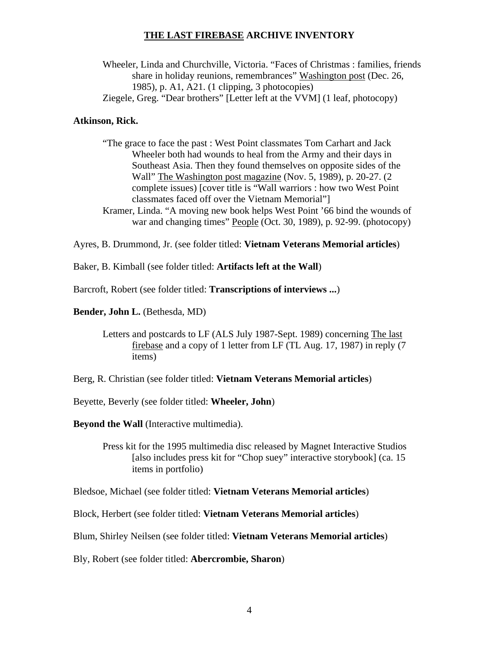Wheeler, Linda and Churchville, Victoria. "Faces of Christmas : families, friends share in holiday reunions, remembrances" Washington post (Dec. 26, 1985), p. A1, A21. (1 clipping, 3 photocopies) Ziegele, Greg. "Dear brothers" [Letter left at the VVM] (1 leaf, photocopy)

#### **Atkinson, Rick.**

- "The grace to face the past : West Point classmates Tom Carhart and Jack Wheeler both had wounds to heal from the Army and their days in Southeast Asia. Then they found themselves on opposite sides of the Wall" The Washington post magazine (Nov. 5, 1989), p. 20-27. (2 complete issues) [cover title is "Wall warriors : how two West Point classmates faced off over the Vietnam Memorial"]
- Kramer, Linda. "A moving new book helps West Point '66 bind the wounds of war and changing times" People (Oct. 30, 1989), p. 92-99. (photocopy)

Ayres, B. Drummond, Jr. (see folder titled: **Vietnam Veterans Memorial articles**)

Baker, B. Kimball (see folder titled: **Artifacts left at the Wall**)

Barcroft, Robert (see folder titled: **Transcriptions of interviews ...**)

**Bender, John L.** (Bethesda, MD)

Letters and postcards to LF (ALS July 1987-Sept. 1989) concerning The last firebase and a copy of 1 letter from LF (TL Aug. 17, 1987) in reply (7 items)

Berg, R. Christian (see folder titled: **Vietnam Veterans Memorial articles**)

Beyette, Beverly (see folder titled: **Wheeler, John**)

**Beyond the Wall** (Interactive multimedia).

Press kit for the 1995 multimedia disc released by Magnet Interactive Studios [also includes press kit for "Chop suey" interactive storybook] (ca. 15 items in portfolio)

Bledsoe, Michael (see folder titled: **Vietnam Veterans Memorial articles**)

Block, Herbert (see folder titled: **Vietnam Veterans Memorial articles**)

Blum, Shirley Neilsen (see folder titled: **Vietnam Veterans Memorial articles**)

Bly, Robert (see folder titled: **Abercrombie, Sharon**)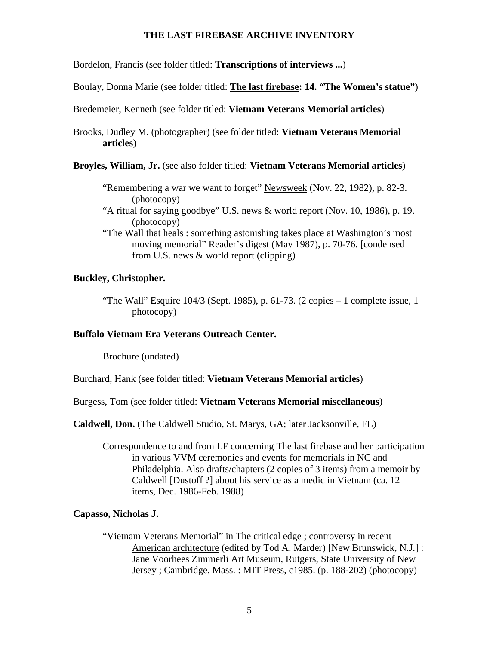Bordelon, Francis (see folder titled: **Transcriptions of interviews ...**)

Boulay, Donna Marie (see folder titled: **The last firebase: 14. "The Women's statue"**)

Bredemeier, Kenneth (see folder titled: **Vietnam Veterans Memorial articles**)

Brooks, Dudley M. (photographer) (see folder titled: **Vietnam Veterans Memorial articles**)

**Broyles, William, Jr.** (see also folder titled: **Vietnam Veterans Memorial articles**)

- "Remembering a war we want to forget" Newsweek (Nov. 22, 1982), p. 82-3. (photocopy)
- "A ritual for saying goodbye" U.S. news & world report (Nov. 10, 1986), p. 19. (photocopy)
- "The Wall that heals : something astonishing takes place at Washington's most moving memorial" Reader's digest (May 1987), p. 70-76. [condensed from U.S. news & world report (clipping)

#### **Buckley, Christopher.**

"The Wall" Esquire 104/3 (Sept. 1985), p. 61-73. (2 copies – 1 complete issue, 1 photocopy)

#### **Buffalo Vietnam Era Veterans Outreach Center.**

Brochure (undated)

Burchard, Hank (see folder titled: **Vietnam Veterans Memorial articles**)

Burgess, Tom (see folder titled: **Vietnam Veterans Memorial miscellaneous**)

**Caldwell, Don.** (The Caldwell Studio, St. Marys, GA; later Jacksonville, FL)

Correspondence to and from LF concerning The last firebase and her participation in various VVM ceremonies and events for memorials in NC and Philadelphia. Also drafts/chapters (2 copies of 3 items) from a memoir by Caldwell [Dustoff ?] about his service as a medic in Vietnam (ca. 12 items, Dec. 1986-Feb. 1988)

#### **Capasso, Nicholas J.**

"Vietnam Veterans Memorial" in The critical edge ; controversy in recent American architecture (edited by Tod A. Marder) [New Brunswick, N.J.] : Jane Voorhees Zimmerli Art Museum, Rutgers, State University of New Jersey ; Cambridge, Mass. : MIT Press, c1985. (p. 188-202) (photocopy)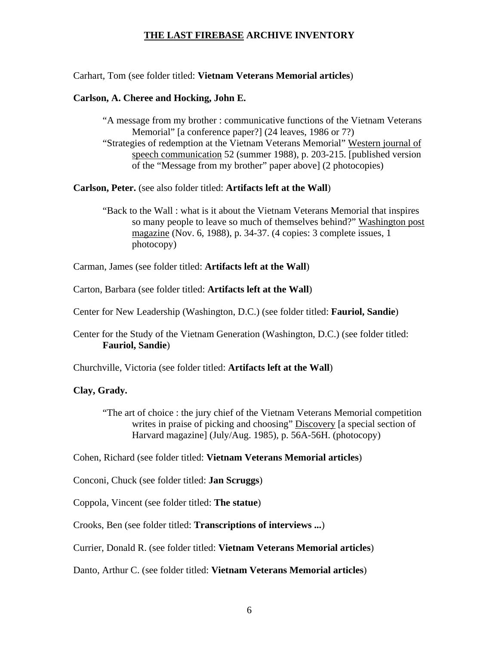Carhart, Tom (see folder titled: **Vietnam Veterans Memorial articles**)

### **Carlson, A. Cheree and Hocking, John E.**

"A message from my brother : communicative functions of the Vietnam Veterans Memorial" [a conference paper?] (24 leaves, 1986 or 7?) "Strategies of redemption at the Vietnam Veterans Memorial" Western journal of speech communication 52 (summer 1988), p. 203-215. [published version of the "Message from my brother" paper above] (2 photocopies)

**Carlson, Peter.** (see also folder titled: **Artifacts left at the Wall**)

"Back to the Wall : what is it about the Vietnam Veterans Memorial that inspires so many people to leave so much of themselves behind?" Washington post magazine (Nov. 6, 1988), p. 34-37. (4 copies: 3 complete issues, 1 photocopy)

Carman, James (see folder titled: **Artifacts left at the Wall**)

Carton, Barbara (see folder titled: **Artifacts left at the Wall**)

Center for New Leadership (Washington, D.C.) (see folder titled: **Fauriol, Sandie**)

Center for the Study of the Vietnam Generation (Washington, D.C.) (see folder titled: **Fauriol, Sandie**)

Churchville, Victoria (see folder titled: **Artifacts left at the Wall**)

## **Clay, Grady.**

"The art of choice : the jury chief of the Vietnam Veterans Memorial competition writes in praise of picking and choosing" Discovery [a special section of Harvard magazine] (July/Aug. 1985), p. 56A-56H. (photocopy)

Cohen, Richard (see folder titled: **Vietnam Veterans Memorial articles**)

Conconi, Chuck (see folder titled: **Jan Scruggs**)

Coppola, Vincent (see folder titled: **The statue**)

Crooks, Ben (see folder titled: **Transcriptions of interviews ...**)

Currier, Donald R. (see folder titled: **Vietnam Veterans Memorial articles**)

Danto, Arthur C. (see folder titled: **Vietnam Veterans Memorial articles**)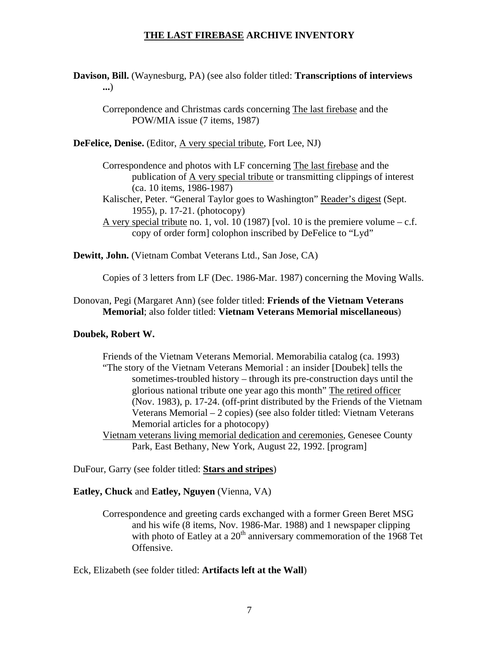**Davison, Bill.** (Waynesburg, PA) (see also folder titled: **Transcriptions of interviews ...**)

Correpondence and Christmas cards concerning The last firebase and the POW/MIA issue (7 items, 1987)

**DeFelice, Denise.** (Editor, A very special tribute, Fort Lee, NJ)

Correspondence and photos with LF concerning The last firebase and the publication of A very special tribute or transmitting clippings of interest (ca. 10 items, 1986-1987)

Kalischer, Peter. "General Taylor goes to Washington" Reader's digest (Sept. 1955), p. 17-21. (photocopy)

A very special tribute no. 1, vol. 10 (1987) [vol. 10 is the premiere volume  $- c.f.$ copy of order form] colophon inscribed by DeFelice to "Lyd"

**Dewitt, John.** (Vietnam Combat Veterans Ltd., San Jose, CA)

Copies of 3 letters from LF (Dec. 1986-Mar. 1987) concerning the Moving Walls.

Donovan, Pegi (Margaret Ann) (see folder titled: **Friends of the Vietnam Veterans Memorial**; also folder titled: **Vietnam Veterans Memorial miscellaneous**)

## **Doubek, Robert W.**

Friends of the Vietnam Veterans Memorial. Memorabilia catalog (ca. 1993) "The story of the Vietnam Veterans Memorial : an insider [Doubek] tells the sometimes-troubled history – through its pre-construction days until the glorious national tribute one year ago this month" The retired officer (Nov. 1983), p. 17-24. (off-print distributed by the Friends of the Vietnam Veterans Memorial – 2 copies) (see also folder titled: Vietnam Veterans Memorial articles for a photocopy)

Vietnam veterans living memorial dedication and ceremonies, Genesee County Park, East Bethany, New York, August 22, 1992. [program]

DuFour, Garry (see folder titled: **Stars and stripes**)

#### **Eatley, Chuck** and **Eatley, Nguyen** (Vienna, VA)

Correspondence and greeting cards exchanged with a former Green Beret MSG and his wife (8 items, Nov. 1986-Mar. 1988) and 1 newspaper clipping with photo of Eatley at a  $20<sup>th</sup>$  anniversary commemoration of the 1968 Tet Offensive.

Eck, Elizabeth (see folder titled: **Artifacts left at the Wall**)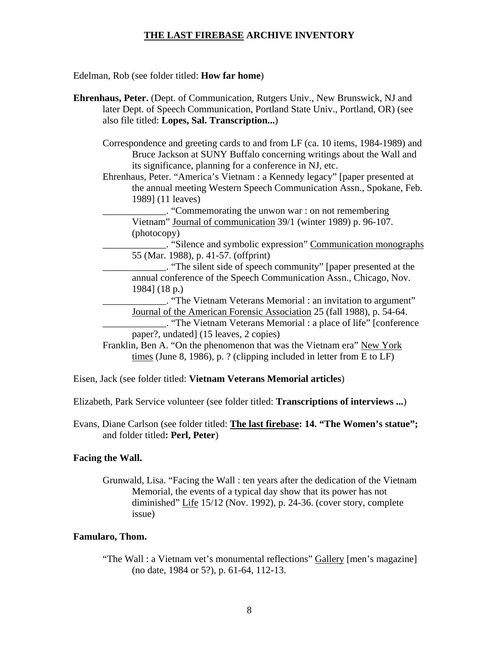Edelman, Rob (see folder titled: **How far home**)

- **Ehrenhaus, Peter.** (Dept. of Communication, Rutgers Univ., New Brunswick, NJ and later Dept. of Speech Communication, Portland State Univ., Portland, OR) (see also file titled: **Lopes, Sal. Transcription...**)
	- Correspondence and greeting cards to and from LF (ca. 10 items, 1984-1989) and Bruce Jackson at SUNY Buffalo concerning writings about the Wall and its significance, planning for a conference in NJ, etc.
	- Ehrenhaus, Peter. "America's Vietnam : a Kennedy legacy" [paper presented at the annual meeting Western Speech Communication Assn., Spokane, Feb. 1989] (11 leaves)

\_\_\_\_\_\_\_\_\_\_\_\_\_. "Commemorating the unwon war : on not remembering Vietnam" Journal of communication 39/1 (winter 1989) p. 96-107. (photocopy)

\_\_\_\_\_\_\_\_\_\_\_\_\_. "Silence and symbolic expression" Communication monographs 55 (Mar. 1988), p. 41-57. (offprint)

\_\_\_\_\_\_\_\_\_\_\_\_\_. "The silent side of speech community" [paper presented at the annual conference of the Speech Communication Assn., Chicago, Nov. 1984] (18 p.)

\_\_\_\_\_\_\_\_\_\_\_\_\_. "The Vietnam Veterans Memorial : an invitation to argument" Journal of the American Forensic Association 25 (fall 1988), p. 54-64.

\_\_\_\_\_\_\_\_\_\_\_\_\_. "The Vietnam Veterans Memorial : a place of life" [conference paper?, undated] (15 leaves, 2 copies)

Franklin, Ben A. "On the phenomenon that was the Vietnam era" New York times (June 8, 1986), p. ? (clipping included in letter from E to LF)

- Eisen, Jack (see folder titled: **Vietnam Veterans Memorial articles**)
- Elizabeth, Park Service volunteer (see folder titled: **Transcriptions of interviews ...**)
- Evans, Diane Carlson (see folder titled: **The last firebase: 14. "The Women's statue";**  and folder titled**: Perl, Peter**)

#### **Facing the Wall.**

Grunwald, Lisa. "Facing the Wall : ten years after the dedication of the Vietnam Memorial, the events of a typical day show that its power has not diminished" Life 15/12 (Nov. 1992), p. 24-36. (cover story, complete issue)

#### **Famularo, Thom.**

"The Wall : a Vietnam vet's monumental reflections" Gallery [men's magazine] (no date, 1984 or 5?), p. 61-64, 112-13.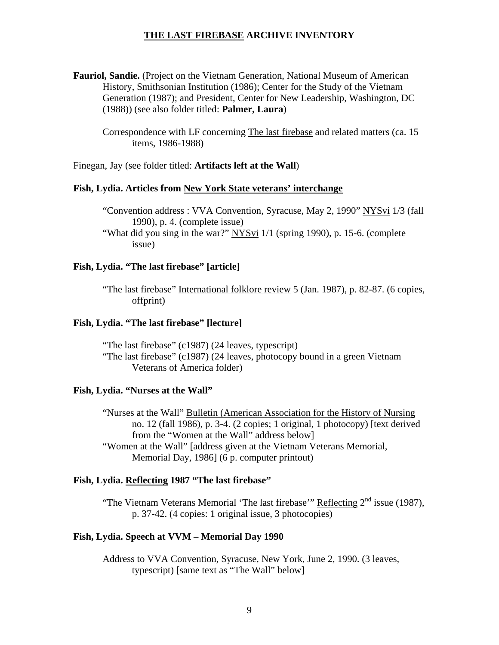**Fauriol, Sandie.** (Project on the Vietnam Generation, National Museum of American History, Smithsonian Institution (1986); Center for the Study of the Vietnam Generation (1987); and President, Center for New Leadership, Washington, DC (1988)) (see also folder titled: **Palmer, Laura**)

Correspondence with LF concerning The last firebase and related matters (ca. 15 items, 1986-1988)

Finegan, Jay (see folder titled: **Artifacts left at the Wall**)

### **Fish, Lydia. Articles from New York State veterans' interchange**

"Convention address : VVA Convention, Syracuse, May 2, 1990" NYSvi 1/3 (fall 1990), p. 4. (complete issue)

"What did you sing in the war?" NYSvi 1/1 (spring 1990), p. 15-6. (complete issue)

#### **Fish, Lydia. "The last firebase" [article]**

"The last firebase" International folklore review 5 (Jan. 1987), p. 82-87. (6 copies, offprint)

#### **Fish, Lydia. "The last firebase" [lecture]**

 "The last firebase" (c1987) (24 leaves, typescript) "The last firebase" (c1987) (24 leaves, photocopy bound in a green Vietnam Veterans of America folder)

#### **Fish, Lydia. "Nurses at the Wall"**

"Nurses at the Wall" Bulletin (American Association for the History of Nursing no. 12 (fall 1986), p. 3-4. (2 copies; 1 original, 1 photocopy) [text derived from the "Women at the Wall" address below] "Women at the Wall" [address given at the Vietnam Veterans Memorial, Memorial Day, 1986] (6 p. computer printout)

#### **Fish, Lydia. Reflecting 1987 "The last firebase"**

"The Vietnam Veterans Memorial 'The last firebase'" Reflecting  $2<sup>nd</sup>$  issue (1987), p. 37-42. (4 copies: 1 original issue, 3 photocopies)

#### **Fish, Lydia. Speech at VVM – Memorial Day 1990**

Address to VVA Convention, Syracuse, New York, June 2, 1990. (3 leaves, typescript) [same text as "The Wall" below]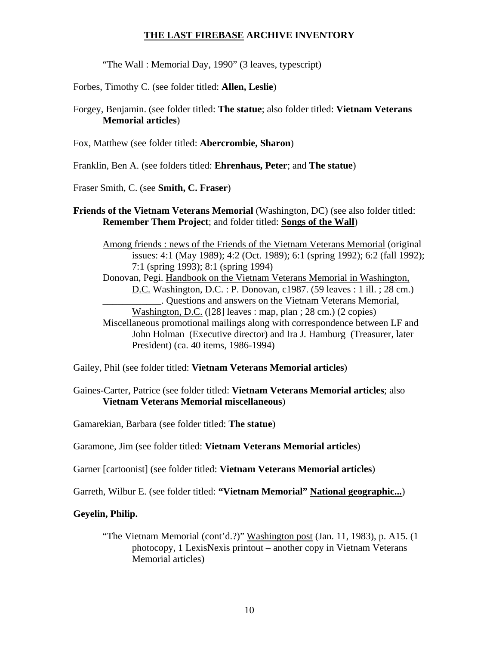"The Wall : Memorial Day, 1990" (3 leaves, typescript)

Forbes, Timothy C. (see folder titled: **Allen, Leslie**)

Forgey, Benjamin. (see folder titled: **The statue**; also folder titled: **Vietnam Veterans Memorial articles**)

Fox, Matthew (see folder titled: **Abercrombie, Sharon**)

Franklin, Ben A. (see folders titled: **Ehrenhaus, Peter**; and **The statue**)

Fraser Smith, C. (see **Smith, C. Fraser**)

**Friends of the Vietnam Veterans Memorial (Washington, DC) (see also folder titled: Remember Them Project**; and folder titled: **Songs of the Wall**)

Among friends : news of the Friends of the Vietnam Veterans Memorial (original issues: 4:1 (May 1989); 4:2 (Oct. 1989); 6:1 (spring 1992); 6:2 (fall 1992); 7:1 (spring 1993); 8:1 (spring 1994) Donovan, Pegi. Handbook on the Vietnam Veterans Memorial in Washington, D.C. Washington, D.C. : P. Donovan, c1987. (59 leaves : 1 ill. ; 28 cm.) \_\_\_\_\_\_\_\_\_\_\_\_. Questions and answers on the Vietnam Veterans Memorial, Washington, D.C. ([28] leaves : map, plan ; 28 cm.) (2 copies) Miscellaneous promotional mailings along with correspondence between LF and John Holman (Executive director) and Ira J. Hamburg (Treasurer, later President) (ca. 40 items, 1986-1994)

Gailey, Phil (see folder titled: **Vietnam Veterans Memorial articles**)

Gaines-Carter, Patrice (see folder titled: **Vietnam Veterans Memorial articles**; also **Vietnam Veterans Memorial miscellaneous**)

Gamarekian, Barbara (see folder titled: **The statue**)

Garamone, Jim (see folder titled: **Vietnam Veterans Memorial articles**)

Garner [cartoonist] (see folder titled: **Vietnam Veterans Memorial articles**)

Garreth, Wilbur E. (see folder titled: **"Vietnam Memorial" National geographic...**)

## **Geyelin, Philip.**

"The Vietnam Memorial (cont'd.?)" Washington post (Jan. 11, 1983), p. A15. (1 photocopy, 1 LexisNexis printout – another copy in Vietnam Veterans Memorial articles)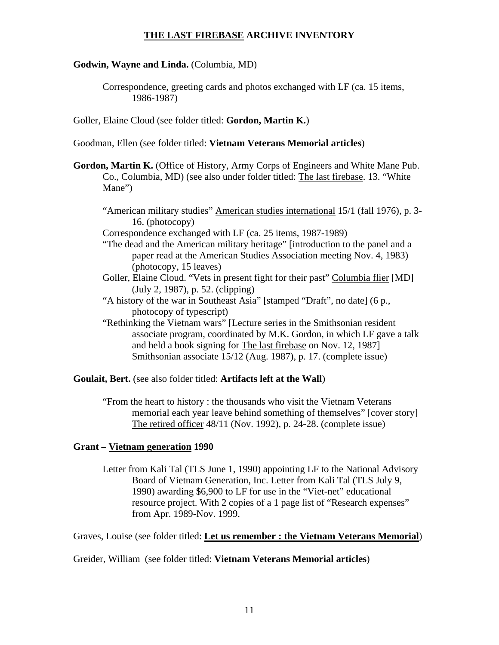### **Godwin, Wayne and Linda.** (Columbia, MD)

Correspondence, greeting cards and photos exchanged with LF (ca. 15 items, 1986-1987)

Goller, Elaine Cloud (see folder titled: **Gordon, Martin K.**)

Goodman, Ellen (see folder titled: **Vietnam Veterans Memorial articles**)

- **Gordon, Martin K.** (Office of History, Army Corps of Engineers and White Mane Pub. Co., Columbia, MD) (see also under folder titled: The last firebase. 13. "White Mane")
	- "American military studies" American studies international 15/1 (fall 1976), p. 3- 16. (photocopy)

Correspondence exchanged with LF (ca. 25 items, 1987-1989)

"The dead and the American military heritage" [introduction to the panel and a paper read at the American Studies Association meeting Nov. 4, 1983) (photocopy, 15 leaves)

- Goller, Elaine Cloud. "Vets in present fight for their past" Columbia flier [MD] (July 2, 1987), p. 52. (clipping)
- "A history of the war in Southeast Asia" [stamped "Draft", no date] (6 p., photocopy of typescript)
- "Rethinking the Vietnam wars" [Lecture series in the Smithsonian resident associate program, coordinated by M.K. Gordon, in which LF gave a talk and held a book signing for The last firebase on Nov. 12, 1987] Smithsonian associate 15/12 (Aug. 1987), p. 17. (complete issue)

**Goulait, Bert.** (see also folder titled: **Artifacts left at the Wall**)

"From the heart to history : the thousands who visit the Vietnam Veterans memorial each year leave behind something of themselves" [cover story] The retired officer 48/11 (Nov. 1992), p. 24-28. (complete issue)

## **Grant – Vietnam generation 1990**

Letter from Kali Tal (TLS June 1, 1990) appointing LF to the National Advisory Board of Vietnam Generation, Inc. Letter from Kali Tal (TLS July 9, 1990) awarding \$6,900 to LF for use in the "Viet-net" educational resource project. With 2 copies of a 1 page list of "Research expenses" from Apr. 1989-Nov. 1999.

Graves, Louise (see folder titled: **Let us remember : the Vietnam Veterans Memorial**)

Greider, William (see folder titled: **Vietnam Veterans Memorial articles**)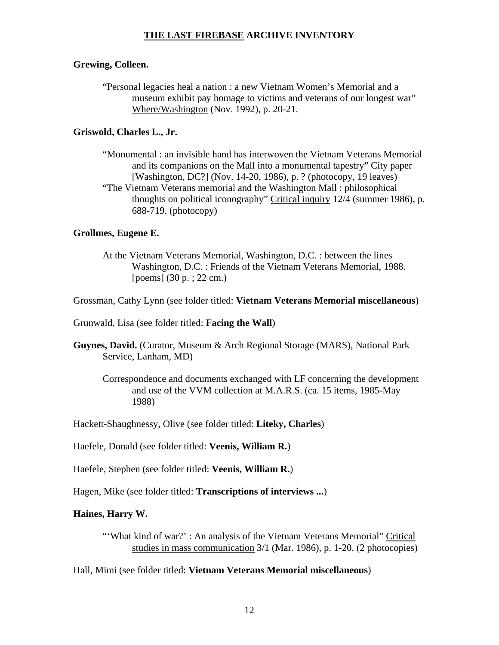### **Grewing, Colleen.**

"Personal legacies heal a nation : a new Vietnam Women's Memorial and a museum exhibit pay homage to victims and veterans of our longest war" Where/Washington (Nov. 1992), p. 20-21.

## **Griswold, Charles L., Jr.**

"Monumental : an invisible hand has interwoven the Vietnam Veterans Memorial and its companions on the Mall into a monumental tapestry" City paper [Washington, DC?] (Nov. 14-20, 1986), p. ? (photocopy, 19 leaves) "The Vietnam Veterans memorial and the Washington Mall : philosophical thoughts on political iconography" Critical inquiry 12/4 (summer 1986), p. 688-719. (photocopy)

## **Grollmes, Eugene E.**

At the Vietnam Veterans Memorial, Washington, D.C. : between the lines Washington, D.C. : Friends of the Vietnam Veterans Memorial, 1988. [poems] (30 p. ; 22 cm.)

Grossman, Cathy Lynn (see folder titled: **Vietnam Veterans Memorial miscellaneous**)

Grunwald, Lisa (see folder titled: **Facing the Wall**)

- **Guynes, David.** (Curator, Museum & Arch Regional Storage (MARS), National Park Service, Lanham, MD)
	- Correspondence and documents exchanged with LF concerning the development and use of the VVM collection at M.A.R.S. (ca. 15 items, 1985-May 1988)

Hackett-Shaughnessy, Olive (see folder titled: **Liteky, Charles**)

Haefele, Donald (see folder titled: **Veenis, William R.**)

Haefele, Stephen (see folder titled: **Veenis, William R.**)

Hagen, Mike (see folder titled: **Transcriptions of interviews ...**)

## **Haines, Harry W.**

"'What kind of war?' : An analysis of the Vietnam Veterans Memorial" Critical studies in mass communication 3/1 (Mar. 1986), p. 1-20. (2 photocopies)

Hall, Mimi (see folder titled: **Vietnam Veterans Memorial miscellaneous**)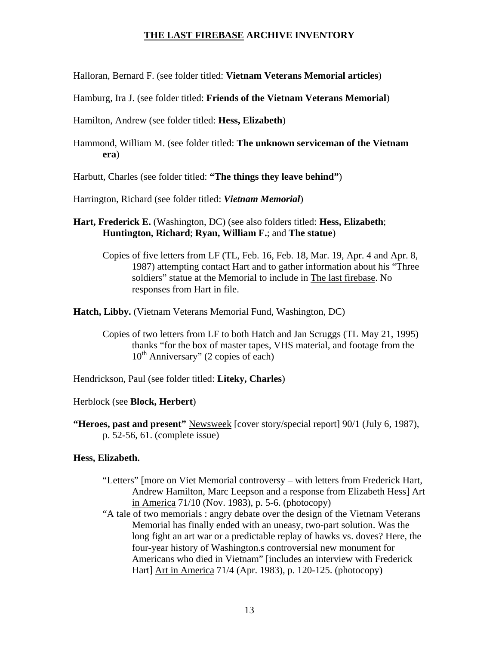Halloran, Bernard F. (see folder titled: **Vietnam Veterans Memorial articles**)

Hamburg, Ira J. (see folder titled: **Friends of the Vietnam Veterans Memorial**)

Hamilton, Andrew (see folder titled: **Hess, Elizabeth**)

Hammond, William M. (see folder titled: **The unknown serviceman of the Vietnam era**)

Harbutt, Charles (see folder titled: **"The things they leave behind"**)

Harrington, Richard (see folder titled: *Vietnam Memorial*)

- **Hart, Frederick E.** (Washington, DC) (see also folders titled: **Hess, Elizabeth**; **Huntington, Richard**; **Ryan, William F.**; and **The statue**)
	- Copies of five letters from LF (TL, Feb. 16, Feb. 18, Mar. 19, Apr. 4 and Apr. 8, 1987) attempting contact Hart and to gather information about his "Three soldiers" statue at the Memorial to include in The last firebase. No responses from Hart in file.

**Hatch, Libby.** (Vietnam Veterans Memorial Fund, Washington, DC)

Copies of two letters from LF to both Hatch and Jan Scruggs (TL May 21, 1995) thanks "for the box of master tapes, VHS material, and footage from the  $10^{th}$  Anniversary" (2 copies of each)

Hendrickson, Paul (see folder titled: **Liteky, Charles**)

Herblock (see **Block, Herbert**)

**"Heroes, past and present"** Newsweek [cover story/special report] 90/1 (July 6, 1987), p. 52-56, 61. (complete issue)

#### **Hess, Elizabeth.**

- "Letters" [more on Viet Memorial controversy with letters from Frederick Hart, Andrew Hamilton, Marc Leepson and a response from Elizabeth Hess] Art in America 71/10 (Nov. 1983), p. 5-6. (photocopy)
- "A tale of two memorials : angry debate over the design of the Vietnam Veterans Memorial has finally ended with an uneasy, two-part solution. Was the long fight an art war or a predictable replay of hawks vs. doves? Here, the four-year history of Washington.s controversial new monument for Americans who died in Vietnam" [includes an interview with Frederick Hart] Art in America 71/4 (Apr. 1983), p. 120-125. (photocopy)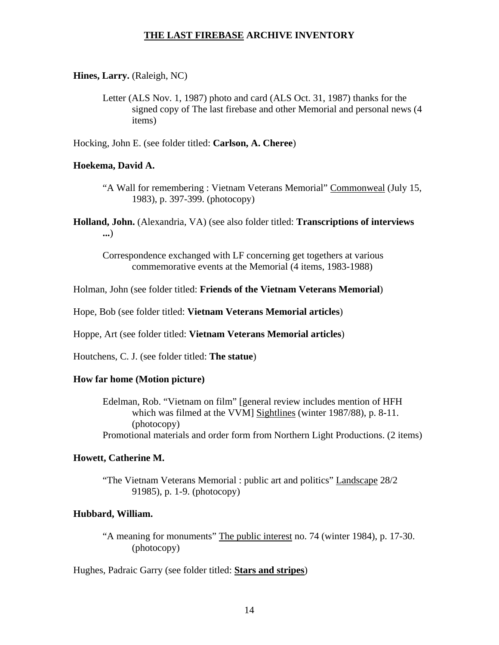#### **Hines, Larry.** (Raleigh, NC)

Letter (ALS Nov. 1, 1987) photo and card (ALS Oct. 31, 1987) thanks for the signed copy of The last firebase and other Memorial and personal news (4 items)

Hocking, John E. (see folder titled: **Carlson, A. Cheree**)

#### **Hoekema, David A.**

- "A Wall for remembering : Vietnam Veterans Memorial" Commonweal (July 15, 1983), p. 397-399. (photocopy)
- **Holland, John.** (Alexandria, VA) (see also folder titled: **Transcriptions of interviews ...**)

Correspondence exchanged with LF concerning get togethers at various commemorative events at the Memorial (4 items, 1983-1988)

Holman, John (see folder titled: **Friends of the Vietnam Veterans Memorial**)

Hope, Bob (see folder titled: **Vietnam Veterans Memorial articles**)

Hoppe, Art (see folder titled: **Vietnam Veterans Memorial articles**)

Houtchens, C. J. (see folder titled: **The statue**)

#### **How far home (Motion picture)**

Edelman, Rob. "Vietnam on film" [general review includes mention of HFH which was filmed at the VVM] Sightlines (winter 1987/88), p. 8-11. (photocopy) Promotional materials and order form from Northern Light Productions. (2 items)

#### **Howett, Catherine M.**

"The Vietnam Veterans Memorial : public art and politics" Landscape 28/2 91985), p. 1-9. (photocopy)

#### **Hubbard, William.**

"A meaning for monuments" The public interest no. 74 (winter 1984), p. 17-30. (photocopy)

Hughes, Padraic Garry (see folder titled: **Stars and stripes**)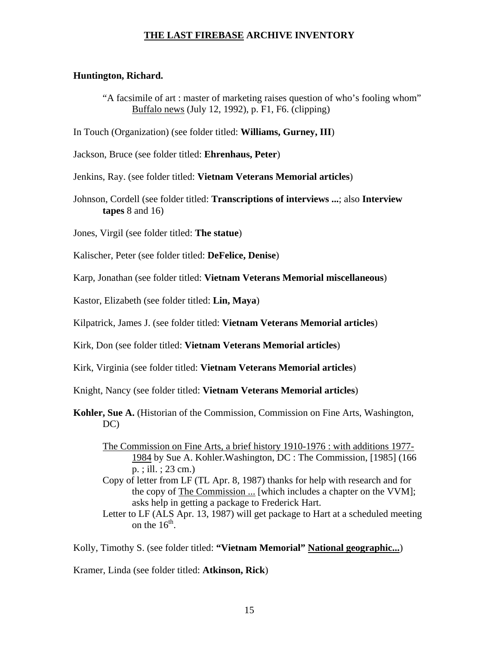#### **Huntington, Richard.**

- "A facsimile of art : master of marketing raises question of who's fooling whom" Buffalo news (July 12, 1992), p. F1, F6. (clipping)
- In Touch (Organization) (see folder titled: **Williams, Gurney, III**)
- Jackson, Bruce (see folder titled: **Ehrenhaus, Peter**)
- Jenkins, Ray. (see folder titled: **Vietnam Veterans Memorial articles**)
- Johnson, Cordell (see folder titled: **Transcriptions of interviews ...**; also **Interview tapes** 8 and 16)
- Jones, Virgil (see folder titled: **The statue**)
- Kalischer, Peter (see folder titled: **DeFelice, Denise**)
- Karp, Jonathan (see folder titled: **Vietnam Veterans Memorial miscellaneous**)
- Kastor, Elizabeth (see folder titled: **Lin, Maya**)
- Kilpatrick, James J. (see folder titled: **Vietnam Veterans Memorial articles**)
- Kirk, Don (see folder titled: **Vietnam Veterans Memorial articles**)
- Kirk, Virginia (see folder titled: **Vietnam Veterans Memorial articles**)
- Knight, Nancy (see folder titled: **Vietnam Veterans Memorial articles**)
- **Kohler, Sue A.** (Historian of the Commission, Commission on Fine Arts, Washington, DC)
	- The Commission on Fine Arts, a brief history 1910-1976 : with additions 1977- 1984 by Sue A. Kohler.Washington, DC : The Commission, [1985] (166 p. ; ill. ; 23 cm.)
	- Copy of letter from LF (TL Apr. 8, 1987) thanks for help with research and for the copy of The Commission ... [which includes a chapter on the VVM]; asks help in getting a package to Frederick Hart.
	- Letter to LF (ALS Apr. 13, 1987) will get package to Hart at a scheduled meeting on the  $16^{th}$ .

Kolly, Timothy S. (see folder titled: **"Vietnam Memorial" National geographic...**)

Kramer, Linda (see folder titled: **Atkinson, Rick**)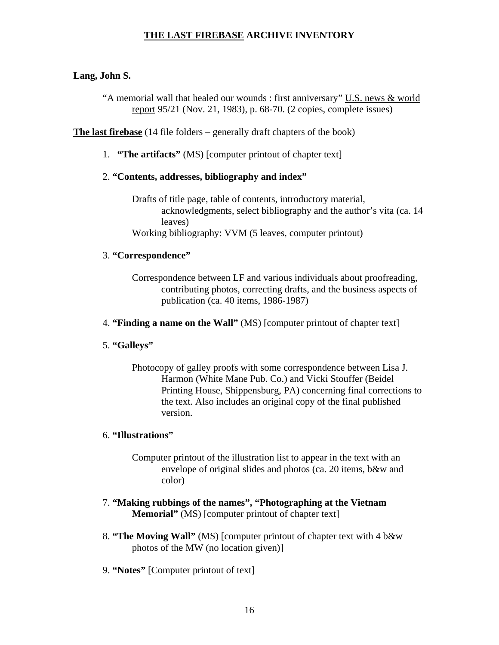## **Lang, John S.**

"A memorial wall that healed our wounds : first anniversary" U.S. news & world report 95/21 (Nov. 21, 1983), p. 68-70. (2 copies, complete issues)

**The last firebase** (14 file folders – generally draft chapters of the book)

1. **"The artifacts"** (MS) [computer printout of chapter text]

## 2. **"Contents, addresses, bibliography and index"**

Drafts of title page, table of contents, introductory material, acknowledgments, select bibliography and the author's vita (ca. 14 leaves) Working bibliography: VVM (5 leaves, computer printout)

## 3. **"Correspondence"**

Correspondence between LF and various individuals about proofreading, contributing photos, correcting drafts, and the business aspects of publication (ca. 40 items, 1986-1987)

4. **"Finding a name on the Wall"** (MS) [computer printout of chapter text]

## 5. **"Galleys"**

Photocopy of galley proofs with some correspondence between Lisa J. Harmon (White Mane Pub. Co.) and Vicki Stouffer (Beidel Printing House, Shippensburg, PA) concerning final corrections to the text. Also includes an original copy of the final published version.

## 6. **"Illustrations"**

Computer printout of the illustration list to appear in the text with an envelope of original slides and photos (ca. 20 items, b&w and color)

- 7. **"Making rubbings of the names", "Photographing at the Vietnam Memorial"** (MS) [computer printout of chapter text]
- 8. **"The Moving Wall"** (MS) [computer printout of chapter text with 4 b&w photos of the MW (no location given)]
- 9. **"Notes"** [Computer printout of text]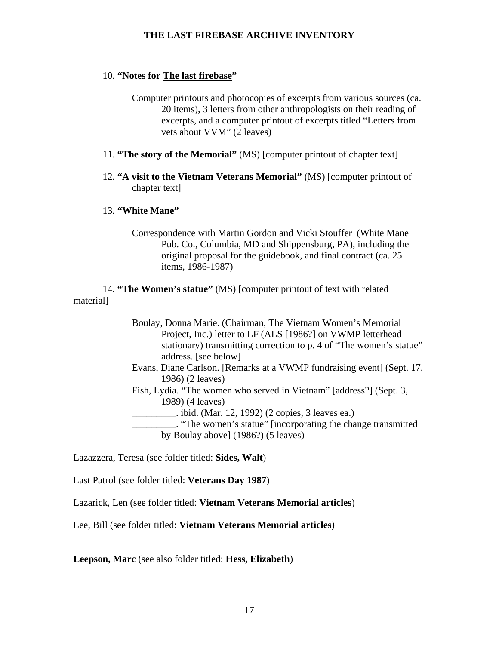#### 10. **"Notes for The last firebase"**

Computer printouts and photocopies of excerpts from various sources (ca. 20 items), 3 letters from other anthropologists on their reading of excerpts, and a computer printout of excerpts titled "Letters from vets about VVM" (2 leaves)

- 11. **"The story of the Memorial"** (MS) [computer printout of chapter text]
- 12. **"A visit to the Vietnam Veterans Memorial"** (MS) [computer printout of chapter text]

#### 13. **"White Mane"**

Correspondence with Martin Gordon and Vicki Stouffer (White Mane Pub. Co., Columbia, MD and Shippensburg, PA), including the original proposal for the guidebook, and final contract (ca. 25 items, 1986-1987)

 14. **"The Women's statue"** (MS) [computer printout of text with related material]

> Boulay, Donna Marie. (Chairman, The Vietnam Women's Memorial Project, Inc.) letter to LF (ALS [1986?] on VWMP letterhead stationary) transmitting correction to p. 4 of "The women's statue" address. [see below]

> Evans, Diane Carlson. [Remarks at a VWMP fundraising event] (Sept. 17, 1986) (2 leaves)

Fish, Lydia. "The women who served in Vietnam" [address?] (Sept. 3, 1989) (4 leaves)

\_\_\_\_\_\_\_\_\_. ibid. (Mar. 12, 1992) (2 copies, 3 leaves ea.)

\_\_\_\_\_\_\_\_\_. "The women's statue" [incorporating the change transmitted by Boulay above] (1986?) (5 leaves)

Lazazzera, Teresa (see folder titled: **Sides, Walt**)

Last Patrol (see folder titled: **Veterans Day 1987**)

Lazarick, Len (see folder titled: **Vietnam Veterans Memorial articles**)

Lee, Bill (see folder titled: **Vietnam Veterans Memorial articles**)

**Leepson, Marc** (see also folder titled: **Hess, Elizabeth**)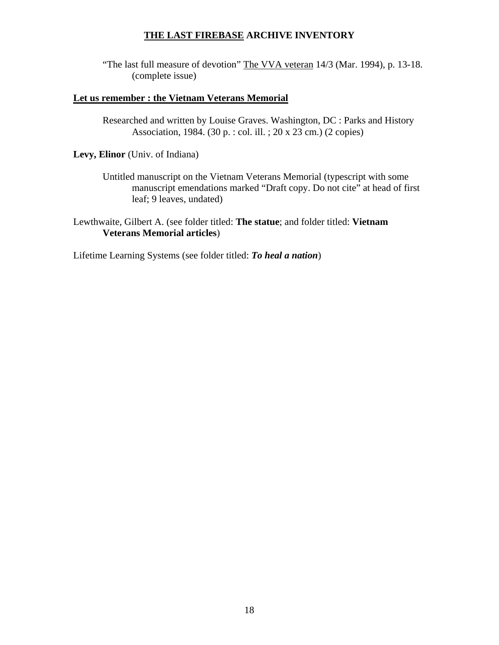"The last full measure of devotion" The VVA veteran 14/3 (Mar. 1994), p. 13-18. (complete issue)

## **Let us remember : the Vietnam Veterans Memorial**

Researched and written by Louise Graves. Washington, DC : Parks and History Association, 1984. (30 p. : col. ill. ; 20 x 23 cm.) (2 copies)

## **Levy, Elinor** (Univ. of Indiana)

Untitled manuscript on the Vietnam Veterans Memorial (typescript with some manuscript emendations marked "Draft copy. Do not cite" at head of first leaf; 9 leaves, undated)

Lewthwaite, Gilbert A. (see folder titled: **The statue**; and folder titled: **Vietnam Veterans Memorial articles**)

Lifetime Learning Systems (see folder titled: *To heal a nation*)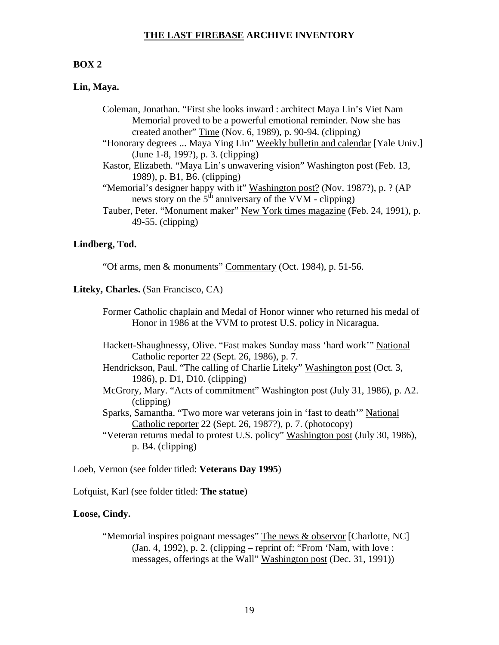#### **BOX 2**

### **Lin, Maya.**

- Coleman, Jonathan. "First she looks inward : architect Maya Lin's Viet Nam Memorial proved to be a powerful emotional reminder. Now she has created another" Time (Nov. 6, 1989), p. 90-94. (clipping)
- "Honorary degrees ... Maya Ying Lin" Weekly bulletin and calendar [Yale Univ.] (June 1-8, 199?), p. 3. (clipping)
- Kastor, Elizabeth. "Maya Lin's unwavering vision" Washington post (Feb. 13, 1989), p. B1, B6. (clipping)
- "Memorial's designer happy with it" Washington post? (Nov. 1987?), p. ? (AP news story on the  $5<sup>th</sup>$  anniversary of the VVM - clipping)
- Tauber, Peter. "Monument maker" New York times magazine (Feb. 24, 1991), p. 49-55. (clipping)

### **Lindberg, Tod.**

"Of arms, men & monuments" Commentary (Oct. 1984), p. 51-56.

#### **Liteky, Charles.** (San Francisco, CA)

- Former Catholic chaplain and Medal of Honor winner who returned his medal of Honor in 1986 at the VVM to protest U.S. policy in Nicaragua.
- Hackett-Shaughnessy, Olive. "Fast makes Sunday mass 'hard work'" National Catholic reporter 22 (Sept. 26, 1986), p. 7.
- Hendrickson, Paul. "The calling of Charlie Liteky" Washington post (Oct. 3, 1986), p. D1, D10. (clipping)
- McGrory, Mary. "Acts of commitment" Washington post (July 31, 1986), p. A2. (clipping)
- Sparks, Samantha. "Two more war veterans join in 'fast to death'" National Catholic reporter 22 (Sept. 26, 1987?), p. 7. (photocopy)
- "Veteran returns medal to protest U.S. policy" Washington post (July 30, 1986), p. B4. (clipping)

Loeb, Vernon (see folder titled: **Veterans Day 1995**)

Lofquist, Karl (see folder titled: **The statue**)

#### **Loose, Cindy.**

"Memorial inspires poignant messages" The news & observor [Charlotte, NC]  $(Jan. 4, 1992)$ , p. 2.  $(clipping - reprint of: "From 'Nam, with love :$ messages, offerings at the Wall" Washington post (Dec. 31, 1991))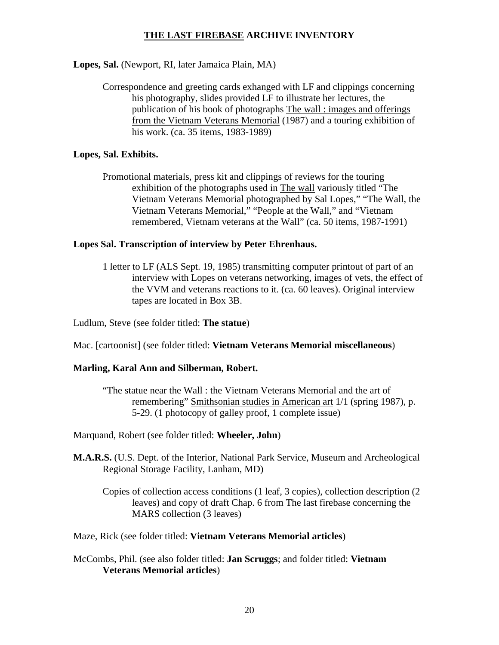## **Lopes, Sal.** (Newport, RI, later Jamaica Plain, MA)

Correspondence and greeting cards exhanged with LF and clippings concerning his photography, slides provided LF to illustrate her lectures, the publication of his book of photographs The wall : images and offerings from the Vietnam Veterans Memorial (1987) and a touring exhibition of his work. (ca. 35 items, 1983-1989)

## **Lopes, Sal. Exhibits.**

Promotional materials, press kit and clippings of reviews for the touring exhibition of the photographs used in The wall variously titled "The Vietnam Veterans Memorial photographed by Sal Lopes," "The Wall, the Vietnam Veterans Memorial," "People at the Wall," and "Vietnam remembered, Vietnam veterans at the Wall" (ca. 50 items, 1987-1991)

## **Lopes Sal. Transcription of interview by Peter Ehrenhaus.**

1 letter to LF (ALS Sept. 19, 1985) transmitting computer printout of part of an interview with Lopes on veterans networking, images of vets, the effect of the VVM and veterans reactions to it. (ca. 60 leaves). Original interview tapes are located in Box 3B.

Ludlum, Steve (see folder titled: **The statue**)

Mac. [cartoonist] (see folder titled: **Vietnam Veterans Memorial miscellaneous**)

## **Marling, Karal Ann and Silberman, Robert.**

"The statue near the Wall : the Vietnam Veterans Memorial and the art of remembering" Smithsonian studies in American art 1/1 (spring 1987), p. 5-29. (1 photocopy of galley proof, 1 complete issue)

Marquand, Robert (see folder titled: **Wheeler, John**)

- **M.A.R.S.** (U.S. Dept. of the Interior, National Park Service, Museum and Archeological Regional Storage Facility, Lanham, MD)
	- Copies of collection access conditions (1 leaf, 3 copies), collection description (2 leaves) and copy of draft Chap. 6 from The last firebase concerning the MARS collection (3 leaves)

Maze, Rick (see folder titled: **Vietnam Veterans Memorial articles**)

McCombs, Phil. (see also folder titled: **Jan Scruggs**; and folder titled: **Vietnam Veterans Memorial articles**)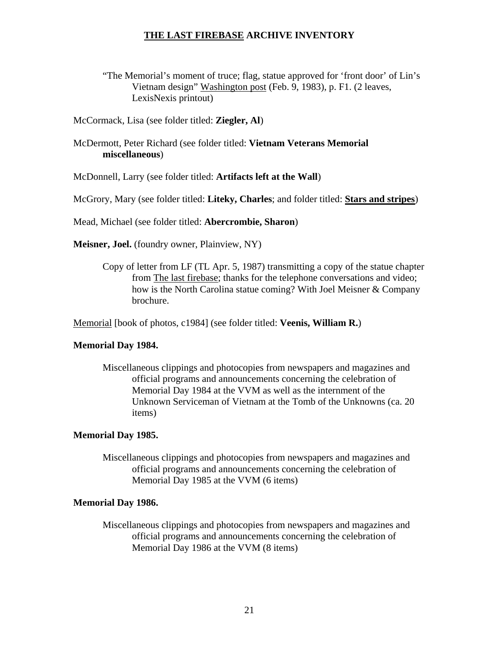- "The Memorial's moment of truce; flag, statue approved for 'front door' of Lin's Vietnam design" Washington post (Feb. 9, 1983), p. F1. (2 leaves, LexisNexis printout)
- McCormack, Lisa (see folder titled: **Ziegler, Al**)

## McDermott, Peter Richard (see folder titled: **Vietnam Veterans Memorial miscellaneous**)

McDonnell, Larry (see folder titled: **Artifacts left at the Wall**)

McGrory, Mary (see folder titled: **Liteky, Charles**; and folder titled: **Stars and stripes**)

Mead, Michael (see folder titled: **Abercrombie, Sharon**)

**Meisner, Joel.** (foundry owner, Plainview, NY)

Copy of letter from LF (TL Apr. 5, 1987) transmitting a copy of the statue chapter from The last firebase; thanks for the telephone conversations and video; how is the North Carolina statue coming? With Joel Meisner & Company brochure.

Memorial [book of photos, c1984] (see folder titled: **Veenis, William R.**)

## **Memorial Day 1984.**

Miscellaneous clippings and photocopies from newspapers and magazines and official programs and announcements concerning the celebration of Memorial Day 1984 at the VVM as well as the internment of the Unknown Serviceman of Vietnam at the Tomb of the Unknowns (ca. 20 items)

## **Memorial Day 1985.**

Miscellaneous clippings and photocopies from newspapers and magazines and official programs and announcements concerning the celebration of Memorial Day 1985 at the VVM (6 items)

#### **Memorial Day 1986.**

Miscellaneous clippings and photocopies from newspapers and magazines and official programs and announcements concerning the celebration of Memorial Day 1986 at the VVM (8 items)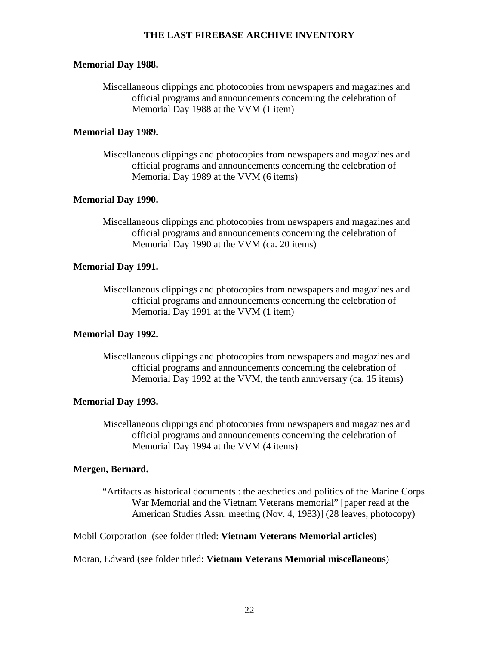#### **Memorial Day 1988.**

Miscellaneous clippings and photocopies from newspapers and magazines and official programs and announcements concerning the celebration of Memorial Day 1988 at the VVM (1 item)

### **Memorial Day 1989.**

Miscellaneous clippings and photocopies from newspapers and magazines and official programs and announcements concerning the celebration of Memorial Day 1989 at the VVM (6 items)

### **Memorial Day 1990.**

Miscellaneous clippings and photocopies from newspapers and magazines and official programs and announcements concerning the celebration of Memorial Day 1990 at the VVM (ca. 20 items)

### **Memorial Day 1991.**

Miscellaneous clippings and photocopies from newspapers and magazines and official programs and announcements concerning the celebration of Memorial Day 1991 at the VVM (1 item)

## **Memorial Day 1992.**

Miscellaneous clippings and photocopies from newspapers and magazines and official programs and announcements concerning the celebration of Memorial Day 1992 at the VVM, the tenth anniversary (ca. 15 items)

#### **Memorial Day 1993.**

Miscellaneous clippings and photocopies from newspapers and magazines and official programs and announcements concerning the celebration of Memorial Day 1994 at the VVM (4 items)

#### **Mergen, Bernard.**

"Artifacts as historical documents : the aesthetics and politics of the Marine Corps War Memorial and the Vietnam Veterans memorial" [paper read at the American Studies Assn. meeting (Nov. 4, 1983)] (28 leaves, photocopy)

Mobil Corporation (see folder titled: **Vietnam Veterans Memorial articles**)

Moran, Edward (see folder titled: **Vietnam Veterans Memorial miscellaneous**)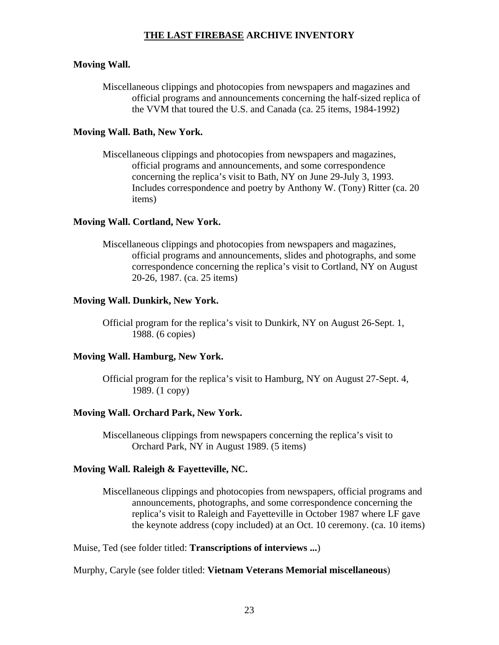## **Moving Wall.**

Miscellaneous clippings and photocopies from newspapers and magazines and official programs and announcements concerning the half-sized replica of the VVM that toured the U.S. and Canada (ca. 25 items, 1984-1992)

### **Moving Wall. Bath, New York.**

Miscellaneous clippings and photocopies from newspapers and magazines, official programs and announcements, and some correspondence concerning the replica's visit to Bath, NY on June 29-July 3, 1993. Includes correspondence and poetry by Anthony W. (Tony) Ritter (ca. 20 items)

### **Moving Wall. Cortland, New York.**

Miscellaneous clippings and photocopies from newspapers and magazines, official programs and announcements, slides and photographs, and some correspondence concerning the replica's visit to Cortland, NY on August 20-26, 1987. (ca. 25 items)

### **Moving Wall. Dunkirk, New York.**

Official program for the replica's visit to Dunkirk, NY on August 26-Sept. 1, 1988. (6 copies)

### **Moving Wall. Hamburg, New York.**

Official program for the replica's visit to Hamburg, NY on August 27-Sept. 4, 1989. (1 copy)

#### **Moving Wall. Orchard Park, New York.**

Miscellaneous clippings from newspapers concerning the replica's visit to Orchard Park, NY in August 1989. (5 items)

#### **Moving Wall. Raleigh & Fayetteville, NC.**

Miscellaneous clippings and photocopies from newspapers, official programs and announcements, photographs, and some correspondence concerning the replica's visit to Raleigh and Fayetteville in October 1987 where LF gave the keynote address (copy included) at an Oct. 10 ceremony. (ca. 10 items)

Muise, Ted (see folder titled: **Transcriptions of interviews ...**)

#### Murphy, Caryle (see folder titled: **Vietnam Veterans Memorial miscellaneous**)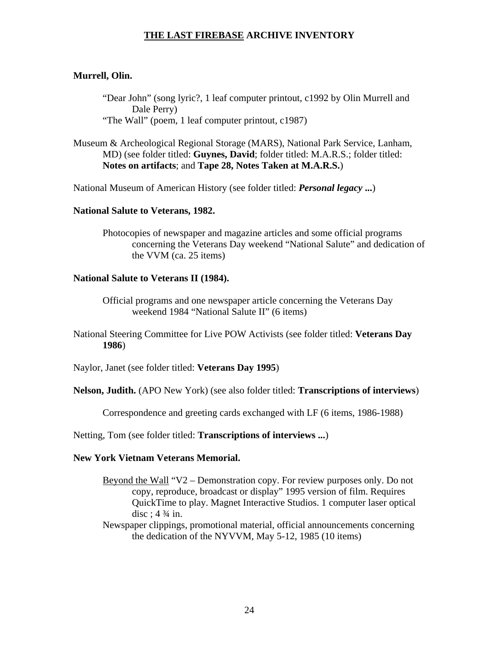### **Murrell, Olin.**

"Dear John" (song lyric?, 1 leaf computer printout, c1992 by Olin Murrell and Dale Perry) "The Wall" (poem, 1 leaf computer printout, c1987)

Museum & Archeological Regional Storage (MARS), National Park Service, Lanham, MD) (see folder titled: **Guynes, David**; folder titled: M.A.R.S.; folder titled: **Notes on artifacts**; and **Tape 28, Notes Taken at M.A.R.S.**)

National Museum of American History (see folder titled: *Personal legacy* **...**)

#### **National Salute to Veterans, 1982.**

Photocopies of newspaper and magazine articles and some official programs concerning the Veterans Day weekend "National Salute" and dedication of the VVM (ca. 25 items)

#### **National Salute to Veterans II (1984).**

Official programs and one newspaper article concerning the Veterans Day weekend 1984 "National Salute II" (6 items)

National Steering Committee for Live POW Activists (see folder titled: **Veterans Day 1986**)

Naylor, Janet (see folder titled: **Veterans Day 1995**)

**Nelson, Judith.** (APO New York) (see also folder titled: **Transcriptions of interviews**)

Correspondence and greeting cards exchanged with LF (6 items, 1986-1988)

Netting, Tom (see folder titled: **Transcriptions of interviews ...**)

### **New York Vietnam Veterans Memorial.**

Beyond the Wall "V2 – Demonstration copy. For review purposes only. Do not copy, reproduce, broadcast or display" 1995 version of film. Requires QuickTime to play. Magnet Interactive Studios. 1 computer laser optical disc;  $4\frac{3}{4}$  in.

Newspaper clippings, promotional material, official announcements concerning the dedication of the NYVVM, May 5-12, 1985 (10 items)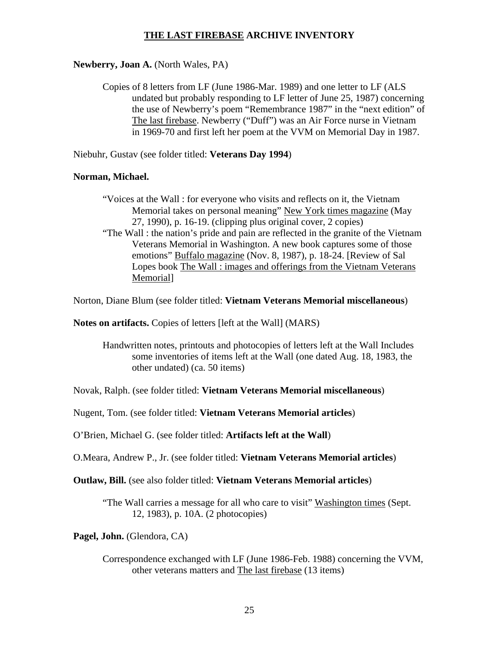### **Newberry, Joan A.** (North Wales, PA)

Copies of 8 letters from LF (June 1986-Mar. 1989) and one letter to LF (ALS undated but probably responding to LF letter of June 25, 1987) concerning the use of Newberry's poem "Remembrance 1987" in the "next edition" of The last firebase. Newberry ("Duff") was an Air Force nurse in Vietnam in 1969-70 and first left her poem at the VVM on Memorial Day in 1987.

Niebuhr, Gustav (see folder titled: **Veterans Day 1994**)

#### **Norman, Michael.**

- "Voices at the Wall : for everyone who visits and reflects on it, the Vietnam Memorial takes on personal meaning" New York times magazine (May 27, 1990), p. 16-19. (clipping plus original cover, 2 copies)
- "The Wall : the nation's pride and pain are reflected in the granite of the Vietnam Veterans Memorial in Washington. A new book captures some of those emotions" Buffalo magazine (Nov. 8, 1987), p. 18-24. [Review of Sal Lopes book The Wall : images and offerings from the Vietnam Veterans Memorial]

Norton, Diane Blum (see folder titled: **Vietnam Veterans Memorial miscellaneous**)

**Notes on artifacts.** Copies of letters [left at the Wall] (MARS)

Handwritten notes, printouts and photocopies of letters left at the Wall Includes some inventories of items left at the Wall (one dated Aug. 18, 1983, the other undated) (ca. 50 items)

Novak, Ralph. (see folder titled: **Vietnam Veterans Memorial miscellaneous**)

Nugent, Tom. (see folder titled: **Vietnam Veterans Memorial articles**)

O'Brien, Michael G. (see folder titled: **Artifacts left at the Wall**)

O.Meara, Andrew P., Jr. (see folder titled: **Vietnam Veterans Memorial articles**)

**Outlaw, Bill.** (see also folder titled: **Vietnam Veterans Memorial articles**)

"The Wall carries a message for all who care to visit" Washington times (Sept. 12, 1983), p. 10A. (2 photocopies)

**Pagel, John.** (Glendora, CA)

Correspondence exchanged with LF (June 1986-Feb. 1988) concerning the VVM, other veterans matters and The last firebase (13 items)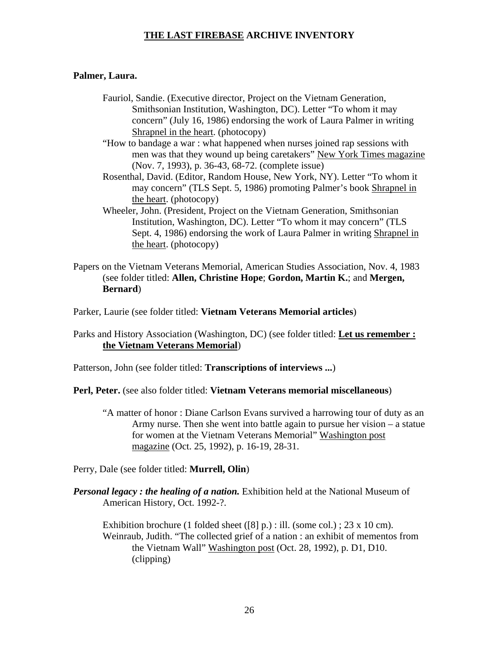### **Palmer, Laura.**

- Fauriol, Sandie. (Executive director, Project on the Vietnam Generation, Smithsonian Institution, Washington, DC). Letter "To whom it may concern" (July 16, 1986) endorsing the work of Laura Palmer in writing Shrapnel in the heart. (photocopy)
- "How to bandage a war : what happened when nurses joined rap sessions with men was that they wound up being caretakers" New York Times magazine (Nov. 7, 1993), p. 36-43, 68-72. (complete issue)
- Rosenthal, David. (Editor, Random House, New York, NY). Letter "To whom it may concern" (TLS Sept. 5, 1986) promoting Palmer's book Shrapnel in the heart. (photocopy)
- Wheeler, John. (President, Project on the Vietnam Generation, Smithsonian Institution, Washington, DC). Letter "To whom it may concern" (TLS Sept. 4, 1986) endorsing the work of Laura Palmer in writing Shrapnel in the heart. (photocopy)
- Papers on the Vietnam Veterans Memorial, American Studies Association, Nov. 4, 1983 (see folder titled: **Allen, Christine Hope**; **Gordon, Martin K.**; and **Mergen, Bernard**)

Parker, Laurie (see folder titled: **Vietnam Veterans Memorial articles**)

Parks and History Association (Washington, DC) (see folder titled: **Let us remember : the Vietnam Veterans Memorial**)

Patterson, John (see folder titled: **Transcriptions of interviews ...**)

**Perl, Peter.** (see also folder titled: **Vietnam Veterans memorial miscellaneous**)

"A matter of honor : Diane Carlson Evans survived a harrowing tour of duty as an Army nurse. Then she went into battle again to pursue her vision – a statue for women at the Vietnam Veterans Memorial" Washington post magazine (Oct. 25, 1992), p. 16-19, 28-31.

Perry, Dale (see folder titled: **Murrell, Olin**)

*Personal legacy : the healing of a nation.* Exhibition held at the National Museum of American History, Oct. 1992-?.

Exhibition brochure (1 folded sheet ([8] p.) : ill. (some col.) ;  $23 \times 10$  cm). Weinraub, Judith. "The collected grief of a nation : an exhibit of mementos from the Vietnam Wall" Washington post (Oct. 28, 1992), p. D1, D10. (clipping)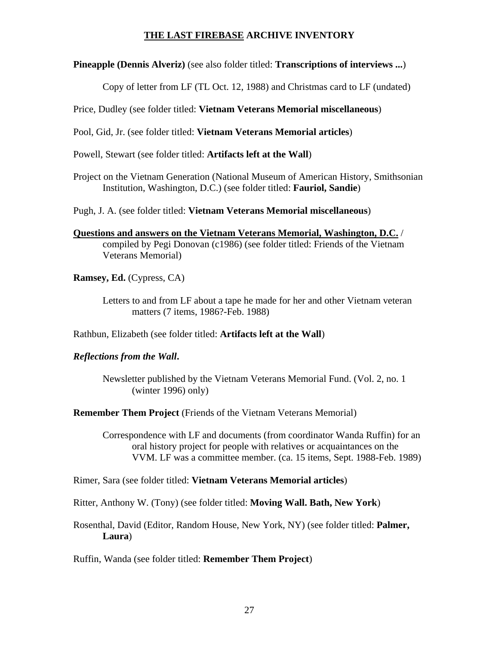**Pineapple (Dennis Alveriz)** (see also folder titled: **Transcriptions of interviews ...**)

Copy of letter from LF (TL Oct. 12, 1988) and Christmas card to LF (undated)

Price, Dudley (see folder titled: **Vietnam Veterans Memorial miscellaneous**)

Pool, Gid, Jr. (see folder titled: **Vietnam Veterans Memorial articles**)

Powell, Stewart (see folder titled: **Artifacts left at the Wall**)

Project on the Vietnam Generation (National Museum of American History, Smithsonian Institution, Washington, D.C.) (see folder titled: **Fauriol, Sandie**)

Pugh, J. A. (see folder titled: **Vietnam Veterans Memorial miscellaneous**)

**Questions and answers on the Vietnam Veterans Memorial, Washington, D.C.** / compiled by Pegi Donovan (c1986) (see folder titled: Friends of the Vietnam Veterans Memorial)

**Ramsey, Ed.** (Cypress, CA)

Letters to and from LF about a tape he made for her and other Vietnam veteran matters (7 items, 1986?-Feb. 1988)

Rathbun, Elizabeth (see folder titled: **Artifacts left at the Wall**)

## *Reflections from the Wall***.**

Newsletter published by the Vietnam Veterans Memorial Fund. (Vol. 2, no. 1 (winter 1996) only)

**Remember Them Project** (Friends of the Vietnam Veterans Memorial)

Correspondence with LF and documents (from coordinator Wanda Ruffin) for an oral history project for people with relatives or acquaintances on the VVM. LF was a committee member. (ca. 15 items, Sept. 1988-Feb. 1989)

Rimer, Sara (see folder titled: **Vietnam Veterans Memorial articles**)

Ritter, Anthony W. (Tony) (see folder titled: **Moving Wall. Bath, New York**)

Rosenthal, David (Editor, Random House, New York, NY) (see folder titled: **Palmer, Laura**)

Ruffin, Wanda (see folder titled: **Remember Them Project**)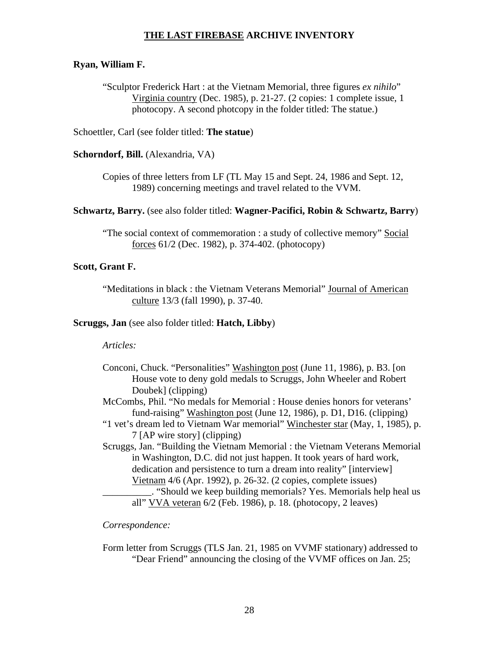#### **Ryan, William F.**

"Sculptor Frederick Hart : at the Vietnam Memorial, three figures *ex nihilo*" Virginia country (Dec. 1985), p. 21-27. (2 copies: 1 complete issue, 1 photocopy. A second photcopy in the folder titled: The statue.)

Schoettler, Carl (see folder titled: **The statue**)

**Schorndorf, Bill.** (Alexandria, VA)

Copies of three letters from LF (TL May 15 and Sept. 24, 1986 and Sept. 12, 1989) concerning meetings and travel related to the VVM.

**Schwartz, Barry.** (see also folder titled: **Wagner-Pacifici, Robin & Schwartz, Barry**)

"The social context of commemoration : a study of collective memory" Social forces 61/2 (Dec. 1982), p. 374-402. (photocopy)

### **Scott, Grant F.**

"Meditations in black : the Vietnam Veterans Memorial" Journal of American culture 13/3 (fall 1990), p. 37-40.

#### **Scruggs, Jan** (see also folder titled: **Hatch, Libby**)

#### *Articles:*

| Conconi, Chuck. "Personalities" Washington post (June 11, 1986), p. B3. [on<br>House vote to deny gold medals to Scruggs, John Wheeler and Robert |
|---------------------------------------------------------------------------------------------------------------------------------------------------|
| Doubek] (clipping)                                                                                                                                |
| McCombs, Phil. "No medals for Memorial : House denies honors for veterans'                                                                        |
| fund-raising" Washington post (June 12, 1986), p. D1, D16. (clipping)                                                                             |
| "1 vet's dream led to Vietnam War memorial" Winchester star (May, 1, 1985), p.                                                                    |
| 7 [AP wire story] (clipping)                                                                                                                      |
| Scruggs, Jan. "Building the Vietnam Memorial : the Vietnam Veterans Memorial                                                                      |
| in Washington, D.C. did not just happen. It took years of hard work,                                                                              |
| dedication and persistence to turn a dream into reality" [interview]                                                                              |
| Vietnam 4/6 (Apr. 1992), p. 26-32. (2 copies, complete issues)                                                                                    |
| . "Should we keep building memorials? Yes. Memorials help heal us                                                                                 |

all" VVA veteran 6/2 (Feb. 1986), p. 18. (photocopy, 2 leaves)

*Correspondence:* 

Form letter from Scruggs (TLS Jan. 21, 1985 on VVMF stationary) addressed to "Dear Friend" announcing the closing of the VVMF offices on Jan. 25;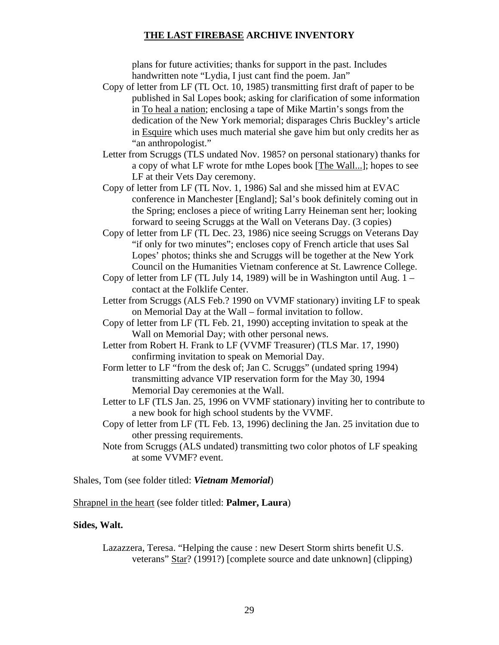plans for future activities; thanks for support in the past. Includes handwritten note "Lydia, I just cant find the poem. Jan"

- Copy of letter from LF (TL Oct. 10, 1985) transmitting first draft of paper to be published in Sal Lopes book; asking for clarification of some information in To heal a nation; enclosing a tape of Mike Martin's songs from the dedication of the New York memorial; disparages Chris Buckley's article in Esquire which uses much material she gave him but only credits her as "an anthropologist."
- Letter from Scruggs (TLS undated Nov. 1985? on personal stationary) thanks for a copy of what LF wrote for mthe Lopes book [The Wall...]; hopes to see LF at their Vets Day ceremony.
- Copy of letter from LF (TL Nov. 1, 1986) Sal and she missed him at EVAC conference in Manchester [England]; Sal's book definitely coming out in the Spring; encloses a piece of writing Larry Heineman sent her; looking forward to seeing Scruggs at the Wall on Veterans Day. (3 copies)
- Copy of letter from LF (TL Dec. 23, 1986) nice seeing Scruggs on Veterans Day "if only for two minutes"; encloses copy of French article that uses Sal Lopes' photos; thinks she and Scruggs will be together at the New York Council on the Humanities Vietnam conference at St. Lawrence College.
- Copy of letter from LF (TL July 14, 1989) will be in Washington until Aug. 1 contact at the Folklife Center.
- Letter from Scruggs (ALS Feb.? 1990 on VVMF stationary) inviting LF to speak on Memorial Day at the Wall – formal invitation to follow.
- Copy of letter from LF (TL Feb. 21, 1990) accepting invitation to speak at the Wall on Memorial Day; with other personal news.
- Letter from Robert H. Frank to LF (VVMF Treasurer) (TLS Mar. 17, 1990) confirming invitation to speak on Memorial Day.
- Form letter to LF "from the desk of; Jan C. Scruggs" (undated spring 1994) transmitting advance VIP reservation form for the May 30, 1994 Memorial Day ceremonies at the Wall.
- Letter to LF (TLS Jan. 25, 1996 on VVMF stationary) inviting her to contribute to a new book for high school students by the VVMF.
- Copy of letter from LF (TL Feb. 13, 1996) declining the Jan. 25 invitation due to other pressing requirements.
- Note from Scruggs (ALS undated) transmitting two color photos of LF speaking at some VVMF? event.

Shales, Tom (see folder titled: *Vietnam Memorial*)

Shrapnel in the heart (see folder titled: **Palmer, Laura**)

#### **Sides, Walt.**

Lazazzera, Teresa. "Helping the cause : new Desert Storm shirts benefit U.S. veterans" Star? (1991?) [complete source and date unknown] (clipping)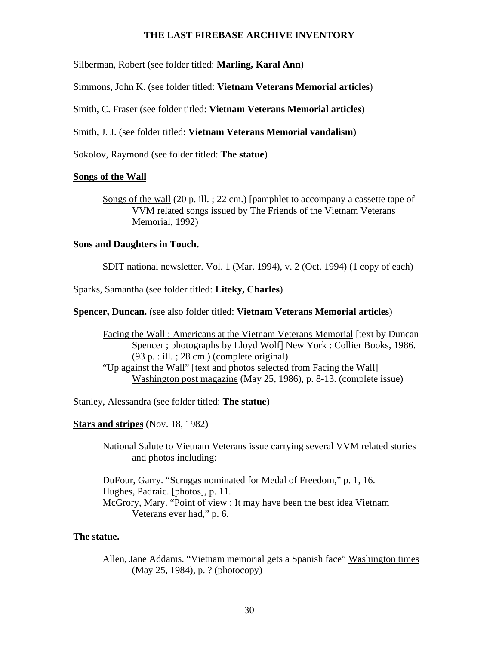Silberman, Robert (see folder titled: **Marling, Karal Ann**)

Simmons, John K. (see folder titled: **Vietnam Veterans Memorial articles**)

Smith, C. Fraser (see folder titled: **Vietnam Veterans Memorial articles**)

Smith, J. J. (see folder titled: **Vietnam Veterans Memorial vandalism**)

Sokolov, Raymond (see folder titled: **The statue**)

#### **Songs of the Wall**

Songs of the wall (20 p. ill. ; 22 cm.) [pamphlet to accompany a cassette tape of VVM related songs issued by The Friends of the Vietnam Veterans Memorial, 1992)

#### **Sons and Daughters in Touch.**

SDIT national newsletter. Vol. 1 (Mar. 1994), v. 2 (Oct. 1994) (1 copy of each)

Sparks, Samantha (see folder titled: **Liteky, Charles**)

### **Spencer, Duncan.** (see also folder titled: **Vietnam Veterans Memorial articles**)

Facing the Wall : Americans at the Vietnam Veterans Memorial [text by Duncan Spencer ; photographs by Lloyd Wolf] New York : Collier Books, 1986. (93 p. : ill. ; 28 cm.) (complete original) "Up against the Wall" [text and photos selected from Facing the Wall] Washington post magazine (May 25, 1986), p. 8-13. (complete issue)

Stanley, Alessandra (see folder titled: **The statue**)

**Stars and stripes** (Nov. 18, 1982)

National Salute to Vietnam Veterans issue carrying several VVM related stories and photos including:

DuFour, Garry. "Scruggs nominated for Medal of Freedom," p. 1, 16. Hughes, Padraic. [photos], p. 11. McGrory, Mary. "Point of view : It may have been the best idea Vietnam Veterans ever had," p. 6.

#### **The statue.**

Allen, Jane Addams. "Vietnam memorial gets a Spanish face" Washington times (May 25, 1984), p. ? (photocopy)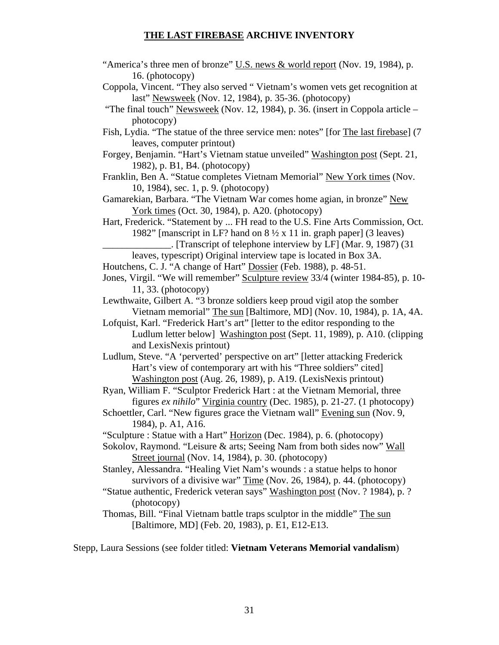- "America's three men of bronze" U.S. news  $&$  world report (Nov. 19, 1984), p. 16. (photocopy)
- Coppola, Vincent. "They also served " Vietnam's women vets get recognition at last" Newsweek (Nov. 12, 1984), p. 35-36. (photocopy)
- "The final touch" Newsweek (Nov. 12, 1984), p. 36. (insert in Coppola article photocopy)
- Fish, Lydia. "The statue of the three service men: notes" [for The last firebase] (7 leaves, computer printout)
- Forgey, Benjamin. "Hart's Vietnam statue unveiled" Washington post (Sept. 21, 1982), p. B1, B4. (photocopy)
- Franklin, Ben A. "Statue completes Vietnam Memorial" New York times (Nov. 10, 1984), sec. 1, p. 9. (photocopy)
- Gamarekian, Barbara. "The Vietnam War comes home agian, in bronze" New York times (Oct. 30, 1984), p. A20. (photocopy)
- Hart, Frederick. "Statement by ... FH read to the U.S. Fine Arts Commission, Oct. 1982" [manscript in LF? hand on  $8\frac{1}{2}$  x 11 in. graph paper] (3 leaves)
	- \_\_\_\_\_\_\_\_\_\_\_\_\_\_. [Transcript of telephone interview by LF] (Mar. 9, 1987) (31
	- leaves, typescript) Original interview tape is located in Box 3A.
- Houtchens, C. J. "A change of Hart" Dossier (Feb. 1988), p. 48-51.
- Jones, Virgil. "We will remember" Sculpture review 33/4 (winter 1984-85), p. 10- 11, 33. (photocopy)
- Lewthwaite, Gilbert A. "3 bronze soldiers keep proud vigil atop the somber Vietnam memorial" The sun [Baltimore, MD] (Nov. 10, 1984), p. 1A, 4A.
- Lofquist, Karl. "Frederick Hart's art" [letter to the editor responding to the Ludlum letter below] Washington post (Sept. 11, 1989), p. A10. (clipping and LexisNexis printout)
- Ludlum, Steve. "A 'perverted' perspective on art" [letter attacking Frederick Hart's view of contemporary art with his "Three soldiers" cited] Washington post (Aug. 26, 1989), p. A19. (LexisNexis printout)
- Ryan, William F. "Sculptor Frederick Hart : at the Vietnam Memorial, three figures *ex nihilo*" Virginia country (Dec. 1985), p. 21-27. (1 photocopy)
- Schoettler, Carl. "New figures grace the Vietnam wall" Evening sun (Nov. 9, 1984), p. A1, A16.
- "Sculpture : Statue with a Hart" Horizon (Dec. 1984), p. 6. (photocopy)
- Sokolov, Raymond. "Leisure & arts; Seeing Nam from both sides now" Wall Street journal (Nov. 14, 1984), p. 30. (photocopy)
- Stanley, Alessandra. "Healing Viet Nam's wounds : a statue helps to honor survivors of a divisive war" Time (Nov. 26, 1984), p. 44. (photocopy)
- "Statue authentic, Frederick veteran says" Washington post (Nov. ? 1984), p. ? (photocopy)
- Thomas, Bill. "Final Vietnam battle traps sculptor in the middle" The sun [Baltimore, MD] (Feb. 20, 1983), p. E1, E12-E13.

Stepp, Laura Sessions (see folder titled: **Vietnam Veterans Memorial vandalism**)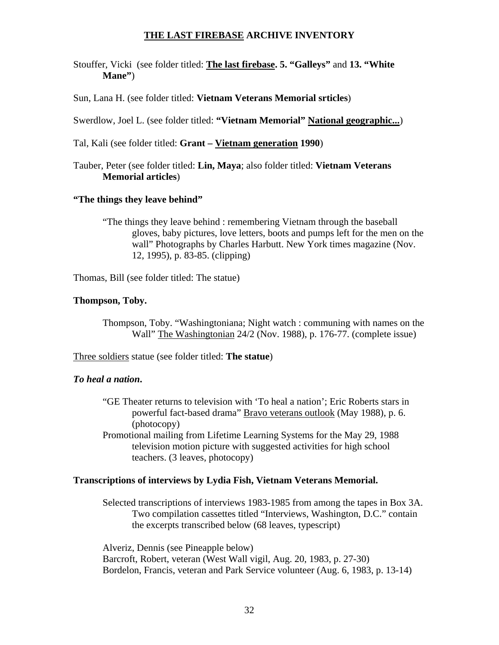Stouffer, Vicki (see folder titled: **The last firebase. 5. "Galleys"** and **13. "White Mane"**)

Sun, Lana H. (see folder titled: **Vietnam Veterans Memorial srticles**)

Swerdlow, Joel L. (see folder titled: **"Vietnam Memorial" National geographic...**)

Tal, Kali (see folder titled: **Grant – Vietnam generation 1990**)

Tauber, Peter (see folder titled: **Lin, Maya**; also folder titled: **Vietnam Veterans Memorial articles**)

### **"The things they leave behind"**

"The things they leave behind : remembering Vietnam through the baseball gloves, baby pictures, love letters, boots and pumps left for the men on the wall" Photographs by Charles Harbutt. New York times magazine (Nov. 12, 1995), p. 83-85. (clipping)

Thomas, Bill (see folder titled: The statue)

### **Thompson, Toby.**

Thompson, Toby. "Washingtoniana; Night watch : communing with names on the Wall" The Washingtonian 24/2 (Nov. 1988), p. 176-77. (complete issue)

Three soldiers statue (see folder titled: **The statue**)

#### *To heal a nation***.**

- "GE Theater returns to television with 'To heal a nation'; Eric Roberts stars in powerful fact-based drama" Bravo veterans outlook (May 1988), p. 6. (photocopy)
- Promotional mailing from Lifetime Learning Systems for the May 29, 1988 television motion picture with suggested activities for high school teachers. (3 leaves, photocopy)

### **Transcriptions of interviews by Lydia Fish, Vietnam Veterans Memorial.**

Selected transcriptions of interviews 1983-1985 from among the tapes in Box 3A. Two compilation cassettes titled "Interviews, Washington, D.C." contain the excerpts transcribed below (68 leaves, typescript)

 Alveriz, Dennis (see Pineapple below) Barcroft, Robert, veteran (West Wall vigil, Aug. 20, 1983, p. 27-30) Bordelon, Francis, veteran and Park Service volunteer (Aug. 6, 1983, p. 13-14)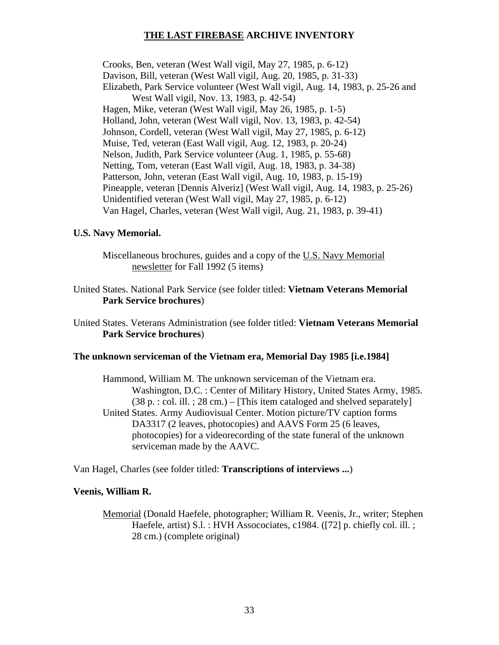Crooks, Ben, veteran (West Wall vigil, May 27, 1985, p. 6-12) Davison, Bill, veteran (West Wall vigil, Aug. 20, 1985, p. 31-33) Elizabeth, Park Service volunteer (West Wall vigil, Aug. 14, 1983, p. 25-26 and West Wall vigil, Nov. 13, 1983, p. 42-54) Hagen, Mike, veteran (West Wall vigil, May 26, 1985, p. 1-5) Holland, John, veteran (West Wall vigil, Nov. 13, 1983, p. 42-54) Johnson, Cordell, veteran (West Wall vigil, May 27, 1985, p. 6-12) Muise, Ted, veteran (East Wall vigil, Aug. 12, 1983, p. 20-24) Nelson, Judith, Park Service volunteer (Aug. 1, 1985, p. 55-68) Netting, Tom, veteran (East Wall vigil, Aug. 18, 1983, p. 34-38) Patterson, John, veteran (East Wall vigil, Aug. 10, 1983, p. 15-19) Pineapple, veteran [Dennis Alveriz] (West Wall vigil, Aug. 14, 1983, p. 25-26) Unidentified veteran (West Wall vigil, May 27, 1985, p. 6-12) Van Hagel, Charles, veteran (West Wall vigil, Aug. 21, 1983, p. 39-41)

### **U.S. Navy Memorial.**

Miscellaneous brochures, guides and a copy of the U.S. Navy Memorial newsletter for Fall 1992 (5 items)

United States. National Park Service (see folder titled: **Vietnam Veterans Memorial Park Service brochures**)

United States. Veterans Administration (see folder titled: **Vietnam Veterans Memorial Park Service brochures**)

#### **The unknown serviceman of the Vietnam era, Memorial Day 1985 [i.e.1984]**

Hammond, William M. The unknown serviceman of the Vietnam era. Washington, D.C. : Center of Military History, United States Army, 1985.  $(38 \text{ p. : col. ill. }; 28 \text{ cm.}) -$  [This item cataloged and shelved separately] United States. Army Audiovisual Center. Motion picture/TV caption forms DA3317 (2 leaves, photocopies) and AAVS Form 25 (6 leaves, photocopies) for a videorecording of the state funeral of the unknown serviceman made by the AAVC.

Van Hagel, Charles (see folder titled: **Transcriptions of interviews ...**)

#### **Veenis, William R.**

Memorial (Donald Haefele, photographer; William R. Veenis, Jr., writer; Stephen Haefele, artist) S.l. : HVH Assocociates, c1984. ([72] p. chiefly col. ill. ; 28 cm.) (complete original)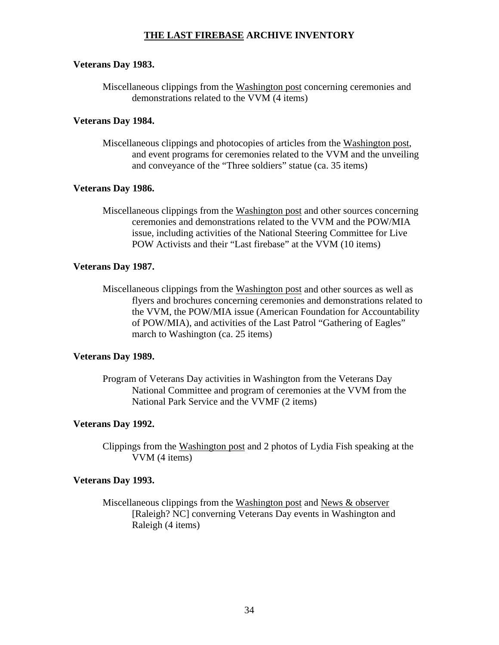#### **Veterans Day 1983.**

Miscellaneous clippings from the Washington post concerning ceremonies and demonstrations related to the VVM (4 items)

### **Veterans Day 1984.**

Miscellaneous clippings and photocopies of articles from the Washington post, and event programs for ceremonies related to the VVM and the unveiling and conveyance of the "Three soldiers" statue (ca. 35 items)

### **Veterans Day 1986.**

Miscellaneous clippings from the Washington post and other sources concerning ceremonies and demonstrations related to the VVM and the POW/MIA issue, including activities of the National Steering Committee for Live POW Activists and their "Last firebase" at the VVM (10 items)

### **Veterans Day 1987.**

Miscellaneous clippings from the Washington post and other sources as well as flyers and brochures concerning ceremonies and demonstrations related to the VVM, the POW/MIA issue (American Foundation for Accountability of POW/MIA), and activities of the Last Patrol "Gathering of Eagles" march to Washington (ca. 25 items)

#### **Veterans Day 1989.**

Program of Veterans Day activities in Washington from the Veterans Day National Committee and program of ceremonies at the VVM from the National Park Service and the VVMF (2 items)

#### **Veterans Day 1992.**

Clippings from the Washington post and 2 photos of Lydia Fish speaking at the VVM (4 items)

#### **Veterans Day 1993.**

Miscellaneous clippings from the Washington post and News & observer [Raleigh? NC] converning Veterans Day events in Washington and Raleigh (4 items)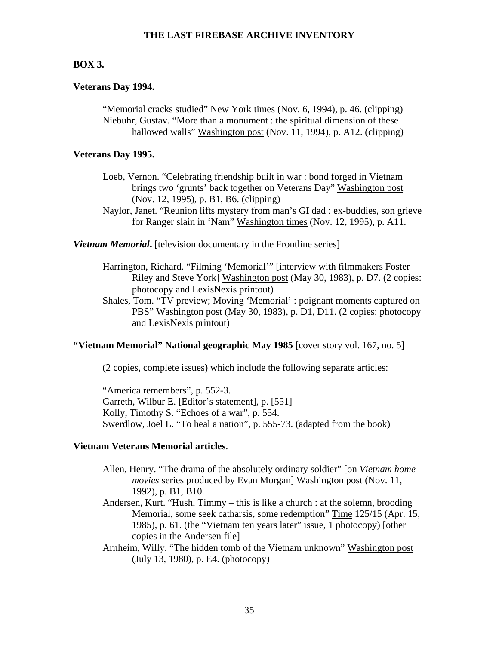### **BOX 3.**

#### **Veterans Day 1994.**

"Memorial cracks studied" New York times (Nov. 6, 1994), p. 46. (clipping) Niebuhr, Gustav. "More than a monument : the spiritual dimension of these hallowed walls" Washington post (Nov. 11, 1994), p. A12. (clipping)

#### **Veterans Day 1995.**

- Loeb, Vernon. "Celebrating friendship built in war : bond forged in Vietnam brings two 'grunts' back together on Veterans Day" Washington post (Nov. 12, 1995), p. B1, B6. (clipping)
- Naylor, Janet. "Reunion lifts mystery from man's GI dad : ex-buddies, son grieve for Ranger slain in 'Nam" Washington times (Nov. 12, 1995), p. A11.

**Vietnam Memorial.** [television documentary in the Frontline series]

- Harrington, Richard. "Filming 'Memorial'" [interview with filmmakers Foster Riley and Steve York] Washington post (May 30, 1983), p. D7. (2 copies: photocopy and LexisNexis printout)
- Shales, Tom. "TV preview; Moving 'Memorial' : poignant moments captured on PBS" Washington post (May 30, 1983), p. D1, D11. (2 copies: photocopy and LexisNexis printout)

## **"Vietnam Memorial" National geographic May 1985** [cover story vol. 167, no. 5]

(2 copies, complete issues) which include the following separate articles:

"America remembers", p. 552-3. Garreth, Wilbur E. [Editor's statement], p. [551] Kolly, Timothy S. "Echoes of a war", p. 554. Swerdlow, Joel L. "To heal a nation", p. 555-73. (adapted from the book)

#### **Vietnam Veterans Memorial articles**.

- Allen, Henry. "The drama of the absolutely ordinary soldier" [on *Vietnam home movies* series produced by Evan Morgan] Washington post (Nov. 11, 1992), p. B1, B10.
- Andersen, Kurt. "Hush, Timmy this is like a church : at the solemn, brooding Memorial, some seek catharsis, some redemption" Time 125/15 (Apr. 15, 1985), p. 61. (the "Vietnam ten years later" issue, 1 photocopy) [other copies in the Andersen file]
- Arnheim, Willy. "The hidden tomb of the Vietnam unknown" Washington post (July 13, 1980), p. E4. (photocopy)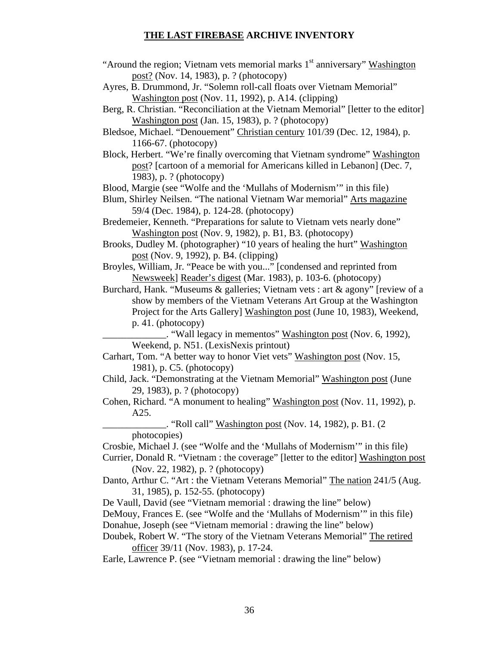- "Around the region; Vietnam vets memorial marks  $1<sup>st</sup>$  anniversary" Washington post? (Nov. 14, 1983), p. ? (photocopy)
- Ayres, B. Drummond, Jr. "Solemn roll-call floats over Vietnam Memorial" Washington post (Nov. 11, 1992), p. A14. (clipping)
- Berg, R. Christian. "Reconciliation at the Vietnam Memorial" [letter to the editor] Washington post (Jan. 15, 1983), p. ? (photocopy)
- Bledsoe, Michael. "Denouement" Christian century 101/39 (Dec. 12, 1984), p. 1166-67. (photocopy)
- Block, Herbert. "We're finally overcoming that Vietnam syndrome" Washington post? [cartoon of a memorial for Americans killed in Lebanon] (Dec. 7, 1983), p. ? (photocopy)

Blood, Margie (see "Wolfe and the 'Mullahs of Modernism'" in this file)

- Blum, Shirley Neilsen. "The national Vietnam War memorial" Arts magazine 59/4 (Dec. 1984), p. 124-28. (photocopy)
- Bredemeier, Kenneth. "Preparations for salute to Vietnam vets nearly done" Washington post (Nov. 9, 1982), p. B1, B3. (photocopy)
- Brooks, Dudley M. (photographer) "10 years of healing the hurt" Washington post (Nov. 9, 1992), p. B4. (clipping)
- Broyles, William, Jr. "Peace be with you..." [condensed and reprinted from Newsweek] Reader's digest (Mar. 1983), p. 103-6. (photocopy)

Burchard, Hank. "Museums & galleries; Vietnam vets : art & agony" [review of a show by members of the Vietnam Veterans Art Group at the Washington Project for the Arts Gallery] Washington post (June 10, 1983), Weekend, p. 41. (photocopy)

\_\_\_\_\_\_\_\_\_\_\_\_\_. "Wall legacy in mementos" Washington post (Nov. 6, 1992), Weekend, p. N51. (LexisNexis printout)

- Carhart, Tom. "A better way to honor Viet vets" Washington post (Nov. 15, 1981), p. C5. (photocopy)
- Child, Jack. "Demonstrating at the Vietnam Memorial" Washington post (June 29, 1983), p. ? (photocopy)
- Cohen, Richard. "A monument to healing" Washington post (Nov. 11, 1992), p. A25.

 $\Box$ . "Roll call" Washington post (Nov. 14, 1982), p. B1. (2) photocopies)

Crosbie, Michael J. (see "Wolfe and the 'Mullahs of Modernism'" in this file)

Currier, Donald R. "Vietnam : the coverage" [letter to the editor] Washington post (Nov. 22, 1982), p. ? (photocopy)

Danto, Arthur C. "Art : the Vietnam Veterans Memorial" The nation 241/5 (Aug. 31, 1985), p. 152-55. (photocopy)

De Vaull, David (see "Vietnam memorial : drawing the line" below)

- DeMouy, Frances E. (see "Wolfe and the 'Mullahs of Modernism'" in this file)
- Donahue, Joseph (see "Vietnam memorial : drawing the line" below)
- Doubek, Robert W. "The story of the Vietnam Veterans Memorial" The retired officer 39/11 (Nov. 1983), p. 17-24.
- Earle, Lawrence P. (see "Vietnam memorial : drawing the line" below)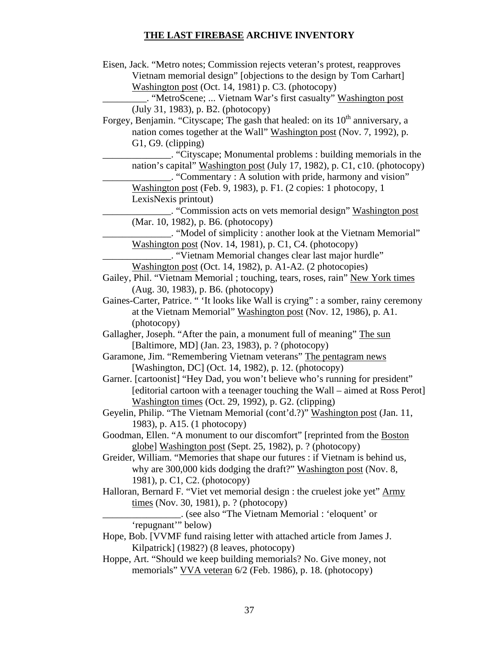| Eisen, Jack. "Metro notes; Commission rejects veteran's protest, reapproves                |
|--------------------------------------------------------------------------------------------|
| Vietnam memorial design" [objections to the design by Tom Carhart]                         |
| Washington post (Oct. 14, 1981) p. C3. (photocopy)                                         |
| . "MetroScene;  Vietnam War's first casualty" Washington post                              |
| (July 31, 1983), p. B2. (photocopy)                                                        |
| Forgey, Benjamin. "Cityscape; The gash that healed: on its 10 <sup>th</sup> anniversary, a |
| nation comes together at the Wall" Washington post (Nov. 7, 1992), p.                      |
| G1, G9. (clipping)                                                                         |
| . "Cityscape; Monumental problems: building memorials in the                               |
| nation's capital" Washington post (July 17, 1982), p. C1, c10. (photocopy)                 |
| . "Commentary : A solution with pride, harmony and vision"                                 |
| Washington post (Feb. 9, 1983), p. F1. (2 copies: 1 photocopy, 1                           |
| LexisNexis printout)                                                                       |
| "Commission acts on vets memorial design" Washington post                                  |
| (Mar. 10, 1982), p. B6. (photocopy)                                                        |
| "Model of simplicity: another look at the Vietnam Memorial"                                |
| Washington post (Nov. 14, 1981), p. C1, C4. (photocopy)                                    |
| . "Vietnam Memorial changes clear last major hurdle".                                      |
| Washington post (Oct. 14, 1982), p. A1-A2. (2 photocopies)                                 |
| Gailey, Phil. "Vietnam Memorial ; touching, tears, roses, rain" New York times             |
| (Aug. 30, 1983), p. B6. (photocopy)                                                        |
| Gaines-Carter, Patrice. " 'It looks like Wall is crying" : a somber, rainy ceremony        |
| at the Vietnam Memorial" Washington post (Nov. 12, 1986), p. A1.                           |
| (photocopy)                                                                                |
| Gallagher, Joseph. "After the pain, a monument full of meaning" The sun                    |
| [Baltimore, MD] (Jan. 23, 1983), p. ? (photocopy)                                          |
| Garamone, Jim. "Remembering Vietnam veterans" The pentagram news                           |
| [Washington, DC] (Oct. 14, 1982), p. 12. (photocopy)                                       |
| Garner. [cartoonist] "Hey Dad, you won't believe who's running for president"              |
| [editorial cartoon with a teenager touching the Wall - aimed at Ross Perot]                |
| Washington times (Oct. 29, 1992), p. G2. (clipping)                                        |
| Geyelin, Philip. "The Vietnam Memorial (cont'd.?)" Washington post (Jan. 11,               |
| 1983), p. A15. (1 photocopy)                                                               |
| Goodman, Ellen. "A monument to our discomfort" [reprinted from the Boston                  |
| globe] Washington post (Sept. 25, 1982), p. ? (photocopy)                                  |
| Greider, William. "Memories that shape our futures : if Vietnam is behind us,              |
| why are 300,000 kids dodging the draft?" Washington post (Nov. 8,                          |
| 1981), p. C1, C2. (photocopy)                                                              |
| Halloran, Bernard F. "Viet vet memorial design : the cruelest joke yet" Army               |
| times (Nov. 30, 1981), p. ? (photocopy)                                                    |
| solid contact the Vietnam Memorial : 'eloquent' or                                         |
| 'repugnant'" below)                                                                        |
| Hope, Bob. [VVMF fund raising letter with attached article from James J.                   |
| Kilpatrick] (1982?) (8 leaves, photocopy)                                                  |
| Hoppe, Art. "Should we keep building memorials? No. Give money, not                        |
| memorials" VVA veteran 6/2 (Feb. 1986), p. 18. (photocopy)                                 |
|                                                                                            |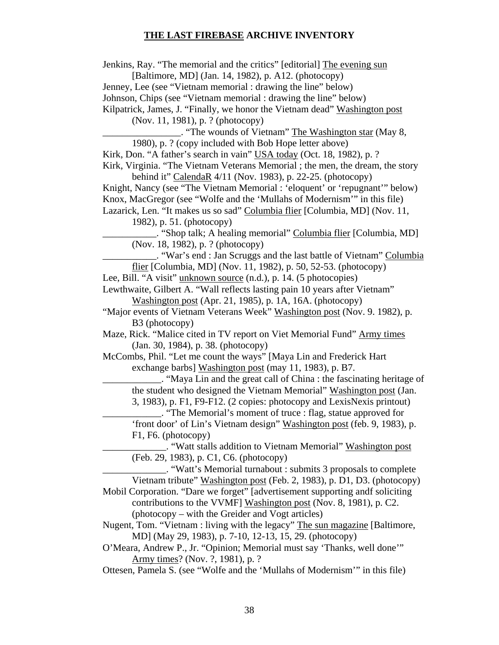Jenkins, Ray. "The memorial and the critics" [editorial] The evening sun [Baltimore, MD] (Jan. 14, 1982), p. A12. (photocopy)

Jenney, Lee (see "Vietnam memorial : drawing the line" below)

Johnson, Chips (see "Vietnam memorial : drawing the line" below)

Kilpatrick, James, J. "Finally, we honor the Vietnam dead" Washington post

(Nov. 11, 1981), p. ? (photocopy)

\_\_\_\_\_\_\_\_\_\_\_\_\_\_\_\_. "The wounds of Vietnam" The Washington star (May 8, 1980), p. ? (copy included with Bob Hope letter above)

Kirk, Don. "A father's search in vain" USA today (Oct. 18, 1982), p. ?

Kirk, Virginia. "The Vietnam Veterans Memorial ; the men, the dream, the story behind it" CalendaR 4/11 (Nov. 1983), p. 22-25. (photocopy)

Knight, Nancy (see "The Vietnam Memorial : 'eloquent' or 'repugnant'" below) Knox, MacGregor (see "Wolfe and the 'Mullahs of Modernism'" in this file) Lazarick, Len. "It makes us so sad" Columbia flier [Columbia, MD] (Nov. 11,

1982), p. 51. (photocopy)

\_\_\_\_\_\_\_\_\_\_\_. "Shop talk; A healing memorial" Columbia flier [Columbia, MD] (Nov. 18, 1982), p. ? (photocopy)

\_\_\_\_\_\_\_\_\_\_\_. "War's end : Jan Scruggs and the last battle of Vietnam" Columbia flier [Columbia, MD] (Nov. 11, 1982), p. 50, 52-53. (photocopy)

Lee, Bill. "A visit" unknown source (n.d.), p. 14. (5 photocopies)

Lewthwaite, Gilbert A. "Wall reflects lasting pain 10 years after Vietnam" Washington post (Apr. 21, 1985), p. 1A, 16A. (photocopy)

"Major events of Vietnam Veterans Week" Washington post (Nov. 9. 1982), p. B3 (photocopy)

Maze, Rick. "Malice cited in TV report on Viet Memorial Fund" Army times (Jan. 30, 1984), p. 38. (photocopy)

McCombs, Phil. "Let me count the ways" [Maya Lin and Frederick Hart exchange barbs] Washington post (may 11, 1983), p. B7.

\_\_\_\_\_\_\_\_\_\_\_\_. "Maya Lin and the great call of China : the fascinating heritage of the student who designed the Vietnam Memorial" Washington post (Jan.

3, 1983), p. F1, F9-F12. (2 copies: photocopy and LexisNexis printout)

\_\_\_\_\_\_\_\_\_\_\_\_. "The Memorial's moment of truce : flag, statue approved for 'front door' of Lin's Vietnam design" Washington post (feb. 9, 1983), p. F1, F6. (photocopy)

\_\_\_\_\_\_\_\_\_\_\_\_\_. "Watt stalls addition to Vietnam Memorial" Washington post (Feb. 29, 1983), p. C1, C6. (photocopy)

\_\_\_\_\_\_\_\_\_\_\_\_\_. "Watt's Memorial turnabout : submits 3 proposals to complete Vietnam tribute" Washington post (Feb. 2, 1983), p. D1, D3. (photocopy)

Mobil Corporation. "Dare we forget" [advertisement supporting andf soliciting contributions to the VVMF] Washington post (Nov. 8, 1981), p. C2. (photocopy – with the Greider and Vogt articles)

Nugent, Tom. "Vietnam : living with the legacy" The sun magazine [Baltimore, MD] (May 29, 1983), p. 7-10, 12-13, 15, 29. (photocopy)

O'Meara, Andrew P., Jr. "Opinion; Memorial must say 'Thanks, well done'" Army times? (Nov. ?, 1981), p. ?

Ottesen, Pamela S. (see "Wolfe and the 'Mullahs of Modernism'" in this file)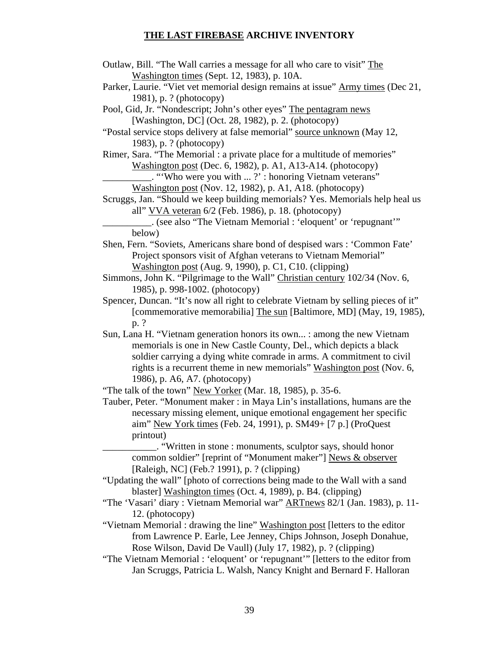- Outlaw, Bill. "The Wall carries a message for all who care to visit" The Washington times (Sept. 12, 1983), p. 10A.
- Parker, Laurie. "Viet vet memorial design remains at issue" Army times (Dec 21, 1981), p. ? (photocopy)

Pool, Gid, Jr. "Nondescript; John's other eyes" The pentagram news [Washington, DC] (Oct. 28, 1982), p. 2. (photocopy)

"Postal service stops delivery at false memorial" source unknown (May 12, 1983), p. ? (photocopy)

Rimer, Sara. "The Memorial : a private place for a multitude of memories" Washington post (Dec. 6, 1982), p. A1, A13-A14. (photocopy)

\_\_\_\_\_\_\_\_\_\_. "'Who were you with ... ?' : honoring Vietnam veterans"

Washington post (Nov. 12, 1982), p. A1, A18. (photocopy)

Scruggs, Jan. "Should we keep building memorials? Yes. Memorials help heal us all" VVA veteran 6/2 (Feb. 1986), p. 18. (photocopy)

\_\_\_\_\_\_\_\_\_\_. (see also "The Vietnam Memorial : 'eloquent' or 'repugnant'" below)

- Shen, Fern. "Soviets, Americans share bond of despised wars : 'Common Fate' Project sponsors visit of Afghan veterans to Vietnam Memorial" Washington post (Aug. 9, 1990), p. C1, C10. (clipping)
- Simmons, John K. "Pilgrimage to the Wall" Christian century 102/34 (Nov. 6, 1985), p. 998-1002. (photocopy)
- Spencer, Duncan. "It's now all right to celebrate Vietnam by selling pieces of it" [commemorative memorabilia] The sun [Baltimore, MD] (May, 19, 1985), p. ?
- Sun, Lana H. "Vietnam generation honors its own... : among the new Vietnam memorials is one in New Castle County, Del., which depicts a black soldier carrying a dying white comrade in arms. A commitment to civil rights is a recurrent theme in new memorials" Washington post (Nov. 6, 1986), p. A6, A7. (photocopy)

"The talk of the town" New Yorker (Mar. 18, 1985), p. 35-6.

- Tauber, Peter. "Monument maker : in Maya Lin's installations, humans are the necessary missing element, unique emotional engagement her specific aim" New York times (Feb. 24, 1991), p. SM49+ [7 p.] (ProQuest printout)
	- \_\_\_\_\_\_\_\_\_\_\_. "Written in stone : monuments, sculptor says, should honor common soldier" [reprint of "Monument maker"] News & observer [Raleigh, NC] (Feb.? 1991), p. ? (clipping)
- "Updating the wall" [photo of corrections being made to the Wall with a sand blaster] Washington times (Oct. 4, 1989), p. B4. (clipping)
- "The 'Vasari' diary : Vietnam Memorial war" ARTnews 82/1 (Jan. 1983), p. 11- 12. (photocopy)
- "Vietnam Memorial : drawing the line" Washington post [letters to the editor from Lawrence P. Earle, Lee Jenney, Chips Johnson, Joseph Donahue, Rose Wilson, David De Vaull) (July 17, 1982), p. ? (clipping)
- "The Vietnam Memorial : 'eloquent' or 'repugnant'" [letters to the editor from Jan Scruggs, Patricia L. Walsh, Nancy Knight and Bernard F. Halloran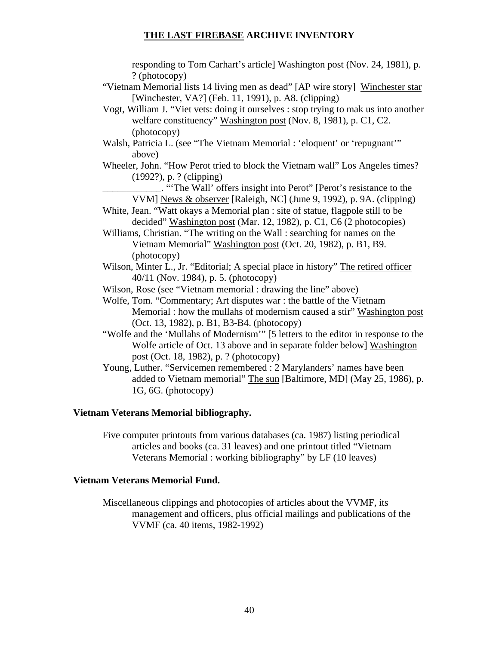responding to Tom Carhart's article] Washington post (Nov. 24, 1981), p. ? (photocopy)

- "Vietnam Memorial lists 14 living men as dead" [AP wire story] Winchester star [Winchester, VA?] (Feb. 11, 1991), p. A8. (clipping)
- Vogt, William J. "Viet vets: doing it ourselves : stop trying to mak us into another welfare constituency" Washington post (Nov. 8, 1981), p. C1, C2. (photocopy)
- Walsh, Patricia L. (see "The Vietnam Memorial : 'eloquent' or 'repugnant'" above)
- Wheeler, John. "How Perot tried to block the Vietnam wall" Los Angeles times? (1992?), p. ? (clipping)
	- \_\_\_\_\_\_\_\_\_\_\_\_. "'The Wall' offers insight into Perot" [Perot's resistance to the VVM] News & observer [Raleigh, NC] (June 9, 1992), p. 9A. (clipping)
- White, Jean. "Watt okays a Memorial plan : site of statue, flagpole still to be decided" Washington post (Mar. 12, 1982), p. C1, C6 (2 photocopies)
- Williams, Christian. "The writing on the Wall : searching for names on the Vietnam Memorial" Washington post (Oct. 20, 1982), p. B1, B9. (photocopy)
- Wilson, Minter L., Jr. "Editorial; A special place in history" The retired officer 40/11 (Nov. 1984), p. 5. (photocopy)
- Wilson, Rose (see "Vietnam memorial : drawing the line" above)
- Wolfe, Tom. "Commentary; Art disputes war : the battle of the Vietnam Memorial : how the mullahs of modernism caused a stir" Washington post (Oct. 13, 1982), p. B1, B3-B4. (photocopy)
- "Wolfe and the 'Mullahs of Modernism'" [5 letters to the editor in response to the Wolfe article of Oct. 13 above and in separate folder below] Washington post (Oct. 18, 1982), p. ? (photocopy)
- Young, Luther. "Servicemen remembered : 2 Marylanders' names have been added to Vietnam memorial" The sun [Baltimore, MD] (May 25, 1986), p. 1G, 6G. (photocopy)

## **Vietnam Veterans Memorial bibliography.**

Five computer printouts from various databases (ca. 1987) listing periodical articles and books (ca. 31 leaves) and one printout titled "Vietnam Veterans Memorial : working bibliography" by LF (10 leaves)

## **Vietnam Veterans Memorial Fund.**

Miscellaneous clippings and photocopies of articles about the VVMF, its management and officers, plus official mailings and publications of the VVMF (ca. 40 items, 1982-1992)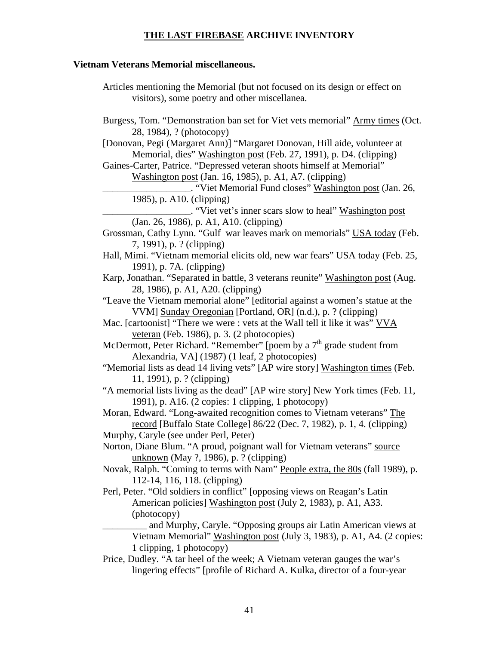## **Vietnam Veterans Memorial miscellaneous.**

- Articles mentioning the Memorial (but not focused on its design or effect on visitors), some poetry and other miscellanea.
- Burgess, Tom. "Demonstration ban set for Viet vets memorial" Army times (Oct. 28, 1984), ? (photocopy)

[Donovan, Pegi (Margaret Ann)] "Margaret Donovan, Hill aide, volunteer at Memorial, dies" Washington post (Feb. 27, 1991), p. D4. (clipping)

Gaines-Carter, Patrice. "Depressed veteran shoots himself at Memorial" Washington post (Jan. 16, 1985), p. A1, A7. (clipping)

\_\_\_\_\_\_\_\_\_\_\_\_\_\_\_\_\_\_. "Viet Memorial Fund closes" Washington post (Jan. 26, 1985), p. A10. (clipping)

\_\_\_\_\_\_\_\_\_\_\_\_\_\_\_\_\_\_. "Viet vet's inner scars slow to heal" Washington post (Jan. 26, 1986), p. A1, A10. (clipping)

- Grossman, Cathy Lynn. "Gulf war leaves mark on memorials" USA today (Feb. 7, 1991), p. ? (clipping)
- Hall, Mimi. "Vietnam memorial elicits old, new war fears" USA today (Feb. 25, 1991), p. 7A. (clipping)
- Karp, Jonathan. "Separated in battle, 3 veterans reunite" Washington post (Aug. 28, 1986), p. A1, A20. (clipping)
- "Leave the Vietnam memorial alone" [editorial against a women's statue at the VVM] Sunday Oregonian [Portland, OR] (n.d.), p. ? (clipping)
- Mac. [cartoonist] "There we were : vets at the Wall tell it like it was" VVA veteran (Feb. 1986), p. 3. (2 photocopies)

McDermott, Peter Richard. "Remember" [poem by a 7<sup>th</sup> grade student from Alexandria, VA] (1987) (1 leaf, 2 photocopies)

"Memorial lists as dead 14 living vets" [AP wire story] Washington times (Feb. 11, 1991), p. ? (clipping)

"A memorial lists living as the dead" [AP wire story] New York times (Feb. 11, 1991), p. A16. (2 copies: 1 clipping, 1 photocopy)

- Moran, Edward. "Long-awaited recognition comes to Vietnam veterans" The record [Buffalo State College] 86/22 (Dec. 7, 1982), p. 1, 4. (clipping)
- Murphy, Caryle (see under Perl, Peter)
- Norton, Diane Blum. "A proud, poignant wall for Vietnam veterans" source unknown (May ?, 1986), p. ? (clipping)
- Novak, Ralph. "Coming to terms with Nam" People extra, the 80s (fall 1989), p. 112-14, 116, 118. (clipping)
- Perl, Peter. "Old soldiers in conflict" [opposing views on Reagan's Latin American policies] Washington post (July 2, 1983), p. A1, A33. (photocopy)

\_\_\_\_\_\_\_\_\_ and Murphy, Caryle. "Opposing groups air Latin American views at Vietnam Memorial" Washington post (July 3, 1983), p. A1, A4. (2 copies: 1 clipping, 1 photocopy)

Price, Dudley. "A tar heel of the week; A Vietnam veteran gauges the war's lingering effects" [profile of Richard A. Kulka, director of a four-year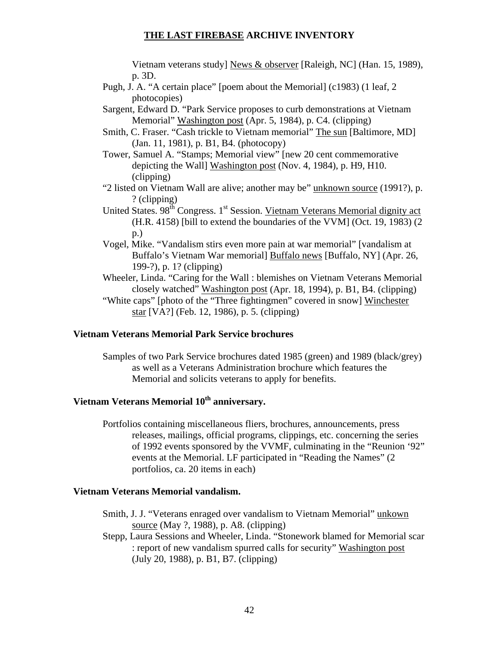Vietnam veterans study] News & observer [Raleigh, NC] (Han. 15, 1989), p. 3D.

- Pugh, J. A. "A certain place" [poem about the Memorial] (c1983) (1 leaf, 2 photocopies)
- Sargent, Edward D. "Park Service proposes to curb demonstrations at Vietnam Memorial" Washington post (Apr. 5, 1984), p. C4. (clipping)
- Smith, C. Fraser. "Cash trickle to Vietnam memorial" The sun [Baltimore, MD] (Jan. 11, 1981), p. B1, B4. (photocopy)
- Tower, Samuel A. "Stamps; Memorial view" [new 20 cent commemorative depicting the Wall] Washington post (Nov. 4, 1984), p. H9, H10. (clipping)
- "2 listed on Vietnam Wall are alive; another may be" unknown source (1991?), p. ? (clipping)
- United States. 98<sup>th</sup> Congress. 1<sup>st</sup> Session. Vietnam Veterans Memorial dignity act (H.R. 4158) [bill to extend the boundaries of the VVM] (Oct. 19, 1983) (2 p.)
- Vogel, Mike. "Vandalism stirs even more pain at war memorial" [vandalism at Buffalo's Vietnam War memorial] Buffalo news [Buffalo, NY] (Apr. 26, 199-?), p. 1? (clipping)
- Wheeler, Linda. "Caring for the Wall : blemishes on Vietnam Veterans Memorial closely watched" Washington post (Apr. 18, 1994), p. B1, B4. (clipping)
- "White caps" [photo of the "Three fightingmen" covered in snow] Winchester star [VA?] (Feb. 12, 1986), p. 5. (clipping)

#### **Vietnam Veterans Memorial Park Service brochures**

Samples of two Park Service brochures dated 1985 (green) and 1989 (black/grey) as well as a Veterans Administration brochure which features the Memorial and solicits veterans to apply for benefits.

# Vietnam Veterans Memorial  $10^{th}$  anniversary.

Portfolios containing miscellaneous fliers, brochures, announcements, press releases, mailings, official programs, clippings, etc. concerning the series of 1992 events sponsored by the VVMF, culminating in the "Reunion '92" events at the Memorial. LF participated in "Reading the Names" (2 portfolios, ca. 20 items in each)

#### **Vietnam Veterans Memorial vandalism.**

- Smith, J. J. "Veterans enraged over vandalism to Vietnam Memorial" unkown source (May ?, 1988), p. A8. (clipping)
- Stepp, Laura Sessions and Wheeler, Linda. "Stonework blamed for Memorial scar : report of new vandalism spurred calls for security" Washington post (July 20, 1988), p. B1, B7. (clipping)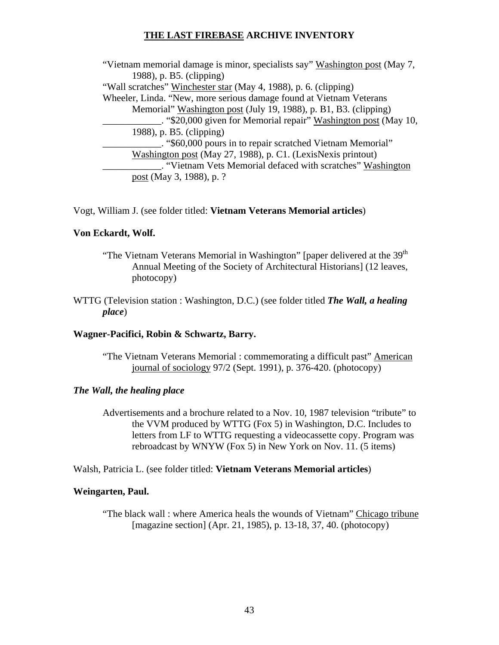"Vietnam memorial damage is minor, specialists say" Washington post (May 7, 1988), p. B5. (clipping) "Wall scratches" Winchester star (May 4, 1988), p. 6. (clipping) Wheeler, Linda. "New, more serious damage found at Vietnam Veterans Memorial" Washington post (July 19, 1988), p. B1, B3. (clipping) \_. "\$20,000 given for Memorial repair" Washington post (May 10, 1988), p. B5. (clipping) \_\_\_\_\_\_\_\_\_\_\_\_. "\$60,000 pours in to repair scratched Vietnam Memorial" Washington post (May 27, 1988), p. C1. (LexisNexis printout) \_\_\_\_\_\_\_\_\_\_\_\_. "Vietnam Vets Memorial defaced with scratches" Washington post (May 3, 1988), p. ?

## Vogt, William J. (see folder titled: **Vietnam Veterans Memorial articles**)

## **Von Eckardt, Wolf.**

- "The Vietnam Veterans Memorial in Washington" [paper delivered at the  $39<sup>th</sup>$ Annual Meeting of the Society of Architectural Historians] (12 leaves, photocopy)
- WTTG (Television station : Washington, D.C.) (see folder titled *The Wall, a healing place*)

## **Wagner-Pacifici, Robin & Schwartz, Barry.**

"The Vietnam Veterans Memorial : commemorating a difficult past" American journal of sociology 97/2 (Sept. 1991), p. 376-420. (photocopy)

## *The Wall, the healing place*

Advertisements and a brochure related to a Nov. 10, 1987 television "tribute" to the VVM produced by WTTG (Fox 5) in Washington, D.C. Includes to letters from LF to WTTG requesting a videocassette copy. Program was rebroadcast by WNYW (Fox 5) in New York on Nov. 11. (5 items)

Walsh, Patricia L. (see folder titled: **Vietnam Veterans Memorial articles**)

## **Weingarten, Paul.**

"The black wall : where America heals the wounds of Vietnam" Chicago tribune [magazine section] (Apr. 21, 1985), p. 13-18, 37, 40. (photocopy)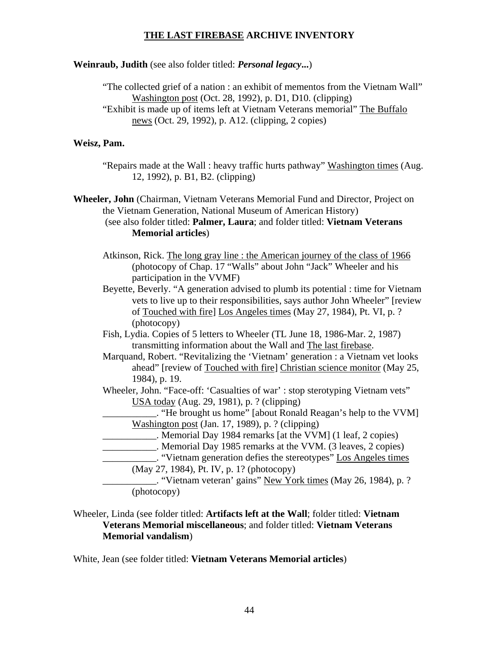## **Weinraub, Judith** (see also folder titled: *Personal legacy***...**)

"The collected grief of a nation : an exhibit of mementos from the Vietnam Wall" Washington post (Oct. 28, 1992), p. D1, D10. (clipping) "Exhibit is made up of items left at Vietnam Veterans memorial" The Buffalo news (Oct. 29, 1992), p. A12. (clipping, 2 copies)

## **Weisz, Pam.**

"Repairs made at the Wall : heavy traffic hurts pathway" Washington times (Aug. 12, 1992), p. B1, B2. (clipping)

**Wheeler, John** (Chairman, Vietnam Veterans Memorial Fund and Director, Project on the Vietnam Generation, National Museum of American History) (see also folder titled: **Palmer, Laura**; and folder titled: **Vietnam Veterans Memorial articles**)

- Atkinson, Rick. The long gray line : the American journey of the class of 1966 (photocopy of Chap. 17 "Walls" about John "Jack" Wheeler and his participation in the VVMF)
- Beyette, Beverly. "A generation advised to plumb its potential : time for Vietnam vets to live up to their responsibilities, says author John Wheeler" [review of Touched with fire] Los Angeles times (May 27, 1984), Pt. VI, p. ? (photocopy)
- Fish, Lydia. Copies of 5 letters to Wheeler (TL June 18, 1986-Mar. 2, 1987) transmitting information about the Wall and The last firebase.
- Marquand, Robert. "Revitalizing the 'Vietnam' generation : a Vietnam vet looks ahead" [review of Touched with fire] Christian science monitor (May 25, 1984), p. 19.
- Wheeler, John. "Face-off: 'Casualties of war' : stop sterotyping Vietnam vets'' USA today (Aug. 29, 1981), p. ? (clipping)

\_\_\_\_\_\_\_\_\_\_\_. "He brought us home" [about Ronald Reagan's help to the VVM] Washington post (Jan. 17, 1989), p. ? (clipping)

- \_\_\_\_\_\_\_\_\_\_\_. Memorial Day 1984 remarks [at the VVM] (1 leaf, 2 copies)
- \_\_\_\_\_\_\_\_\_\_\_. Memorial Day 1985 remarks at the VVM. (3 leaves, 2 copies)
- \_\_\_\_\_\_\_\_\_\_\_. "Vietnam generation defies the stereotypes" Los Angeles times (May 27, 1984), Pt. IV, p. 1? (photocopy)

\_\_\_\_\_\_\_\_\_\_\_. "Vietnam veteran' gains" New York times (May 26, 1984), p. ? (photocopy)

## Wheeler, Linda (see folder titled: **Artifacts left at the Wall**; folder titled: **Vietnam Veterans Memorial miscellaneous**; and folder titled: **Vietnam Veterans Memorial vandalism**)

White, Jean (see folder titled: **Vietnam Veterans Memorial articles**)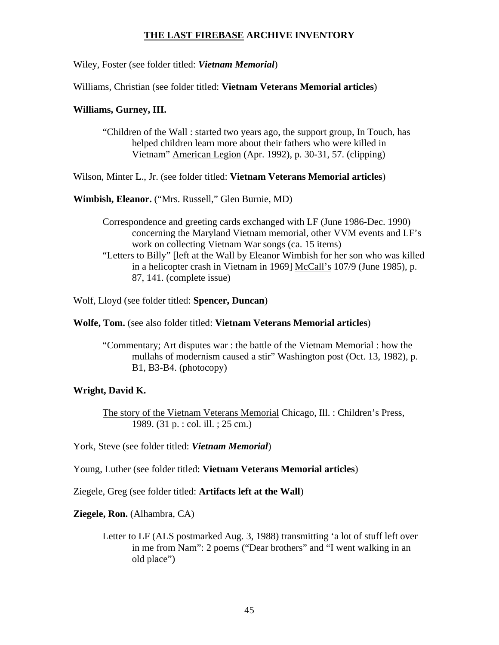Wiley, Foster (see folder titled: *Vietnam Memorial*)

Williams, Christian (see folder titled: **Vietnam Veterans Memorial articles**)

### **Williams, Gurney, III.**

"Children of the Wall : started two years ago, the support group, In Touch, has helped children learn more about their fathers who were killed in Vietnam" American Legion (Apr. 1992), p. 30-31, 57. (clipping)

Wilson, Minter L., Jr. (see folder titled: **Vietnam Veterans Memorial articles**)

**Wimbish, Eleanor.** ("Mrs. Russell," Glen Burnie, MD)

Correspondence and greeting cards exchanged with LF (June 1986-Dec. 1990) concerning the Maryland Vietnam memorial, other VVM events and LF's work on collecting Vietnam War songs (ca. 15 items) "Letters to Billy" [left at the Wall by Eleanor Wimbish for her son who was killed in a helicopter crash in Vietnam in 1969] McCall's 107/9 (June 1985), p. 87, 141. (complete issue)

Wolf, Lloyd (see folder titled: **Spencer, Duncan**)

**Wolfe, Tom.** (see also folder titled: **Vietnam Veterans Memorial articles**)

"Commentary; Art disputes war : the battle of the Vietnam Memorial : how the mullahs of modernism caused a stir" Washington post (Oct. 13, 1982), p. B1, B3-B4. (photocopy)

## **Wright, David K.**

The story of the Vietnam Veterans Memorial Chicago, Ill. : Children's Press, 1989. (31 p. : col. ill. ; 25 cm.)

York, Steve (see folder titled: *Vietnam Memorial*)

Young, Luther (see folder titled: **Vietnam Veterans Memorial articles**)

Ziegele, Greg (see folder titled: **Artifacts left at the Wall**)

**Ziegele, Ron.** (Alhambra, CA)

Letter to LF (ALS postmarked Aug. 3, 1988) transmitting 'a lot of stuff left over in me from Nam": 2 poems ("Dear brothers" and "I went walking in an old place")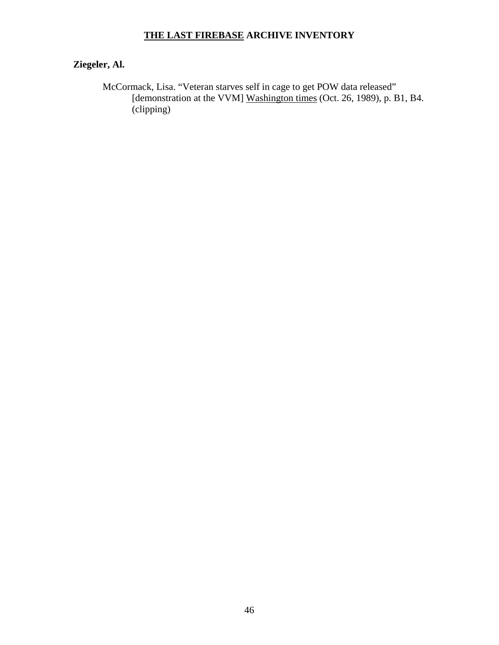# **Ziegeler, Al.**

McCormack, Lisa. "Veteran starves self in cage to get POW data released" [demonstration at the VVM] Washington times (Oct. 26, 1989), p. B1, B4. (clipping)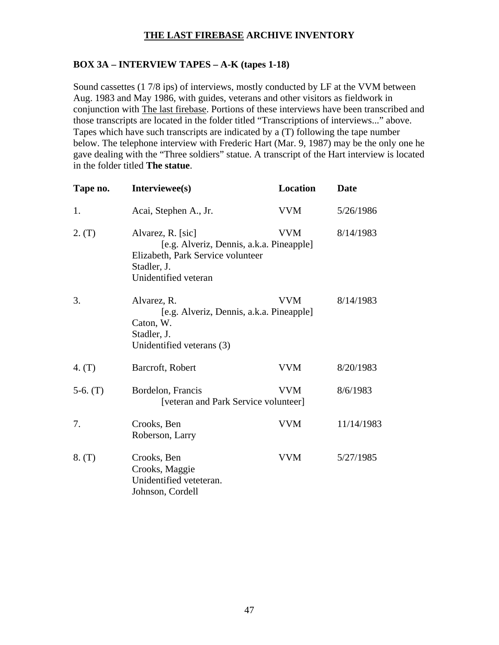## **BOX 3A – INTERVIEW TAPES – A-K (tapes 1-18)**

Sound cassettes (1 7/8 ips) of interviews, mostly conducted by LF at the VVM between Aug. 1983 and May 1986, with guides, veterans and other visitors as fieldwork in conjunction with The last firebase. Portions of these interviews have been transcribed and those transcripts are located in the folder titled "Transcriptions of interviews..." above. Tapes which have such transcripts are indicated by a (T) following the tape number below. The telephone interview with Frederic Hart (Mar. 9, 1987) may be the only one he gave dealing with the "Three soldiers" statue. A transcript of the Hart interview is located in the folder titled **The statue**.

| Tape no.   | Interviewee(s)                                                                                                                            | <b>Location</b> | <b>Date</b> |
|------------|-------------------------------------------------------------------------------------------------------------------------------------------|-----------------|-------------|
| 1.         | Acai, Stephen A., Jr.                                                                                                                     | <b>VVM</b>      | 5/26/1986   |
| 2. (T)     | Alvarez, R. [sic]<br>[e.g. Alveriz, Dennis, a.k.a. Pineapple]<br>Elizabeth, Park Service volunteer<br>Stadler, J.<br>Unidentified veteran | <b>VVM</b>      | 8/14/1983   |
| 3.         | Alvarez, R.<br>[e.g. Alveriz, Dennis, a.k.a. Pineapple]<br>Caton, W.<br>Stadler, J.<br>Unidentified veterans (3)                          | <b>VVM</b>      | 8/14/1983   |
| 4. $(T)$   | Barcroft, Robert                                                                                                                          | <b>VVM</b>      | 8/20/1983   |
| $5-6.$ (T) | Bordelon, Francis<br>[veteran and Park Service volunteer]                                                                                 | <b>VVM</b>      | 8/6/1983    |
| 7.         | Crooks, Ben<br>Roberson, Larry                                                                                                            | <b>VVM</b>      | 11/14/1983  |
| 8. (T)     | Crooks, Ben<br>Crooks, Maggie<br>Unidentified veteteran.<br>Johnson, Cordell                                                              | <b>VVM</b>      | 5/27/1985   |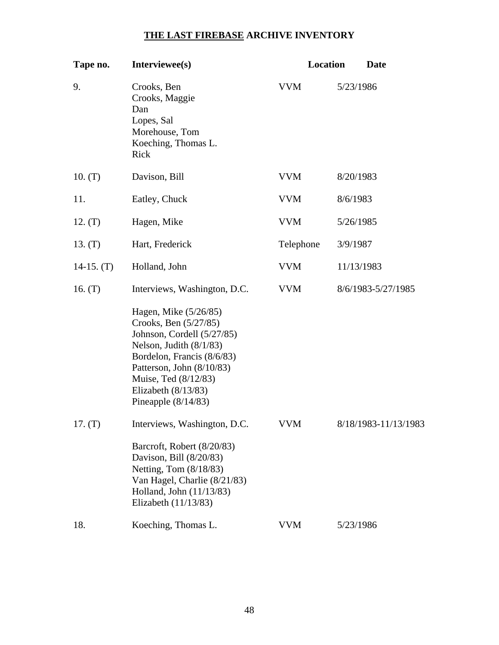| Tape no.     | Interviewee(s)                                                                                                                                                                                                                                 | Location   | <b>Date</b>          |
|--------------|------------------------------------------------------------------------------------------------------------------------------------------------------------------------------------------------------------------------------------------------|------------|----------------------|
| 9.           | Crooks, Ben<br>Crooks, Maggie<br>Dan<br>Lopes, Sal<br>Morehouse, Tom<br>Koeching, Thomas L.<br>Rick                                                                                                                                            | <b>VVM</b> | 5/23/1986            |
| 10. (T)      | Davison, Bill                                                                                                                                                                                                                                  | <b>VVM</b> | 8/20/1983            |
| 11.          | Eatley, Chuck                                                                                                                                                                                                                                  | <b>VVM</b> | 8/6/1983             |
| 12. $(T)$    | Hagen, Mike                                                                                                                                                                                                                                    | <b>VVM</b> | 5/26/1985            |
| 13. (T)      | Hart, Frederick                                                                                                                                                                                                                                | Telephone  | 3/9/1987             |
| $14-15. (T)$ | Holland, John                                                                                                                                                                                                                                  | <b>VVM</b> | 11/13/1983           |
| 16. $(T)$    | Interviews, Washington, D.C.                                                                                                                                                                                                                   | <b>VVM</b> | 8/6/1983-5/27/1985   |
|              | Hagen, Mike (5/26/85)<br>Crooks, Ben (5/27/85)<br>Johnson, Cordell (5/27/85)<br>Nelson, Judith $(8/1/83)$<br>Bordelon, Francis (8/6/83)<br>Patterson, John (8/10/83)<br>Muise, Ted (8/12/83)<br>Elizabeth $(8/13/83)$<br>Pineapple $(8/14/83)$ |            |                      |
| 17. (T)      | Interviews, Washington, D.C.<br>Barcroft, Robert (8/20/83)<br>Davison, Bill (8/20/83)<br>Netting, Tom (8/18/83)<br>Van Hagel, Charlie (8/21/83)<br>Holland, John (11/13/83)<br>Elizabeth $(11/13/83)$                                          | <b>VVM</b> | 8/18/1983-11/13/1983 |
| 18.          | Koeching, Thomas L.                                                                                                                                                                                                                            | <b>VVM</b> | 5/23/1986            |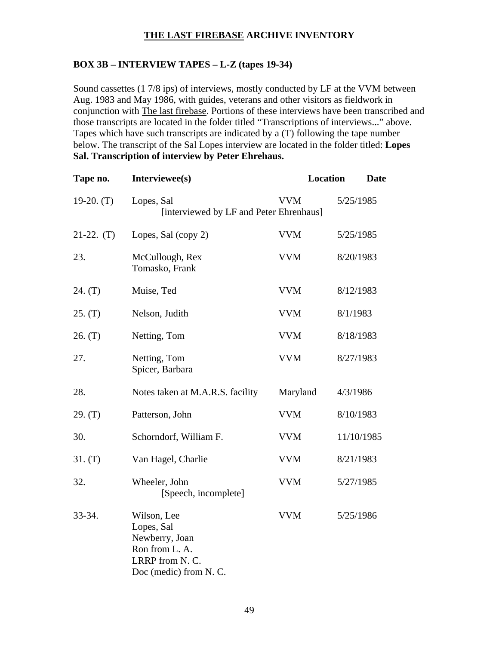## **BOX 3B – INTERVIEW TAPES – L-Z (tapes 19-34)**

Sound cassettes (1 7/8 ips) of interviews, mostly conducted by LF at the VVM between Aug. 1983 and May 1986, with guides, veterans and other visitors as fieldwork in conjunction with The last firebase. Portions of these interviews have been transcribed and those transcripts are located in the folder titled "Transcriptions of interviews..." above. Tapes which have such transcripts are indicated by a (T) following the tape number below. The transcript of the Sal Lopes interview are located in the folder titled: **Lopes Sal. Transcription of interview by Peter Ehrehaus.**

| Tape no.     | Interviewee(s)                                                                                            | <b>Location</b> | Date       |
|--------------|-----------------------------------------------------------------------------------------------------------|-----------------|------------|
| $19-20. (T)$ | Lopes, Sal<br>[interviewed by LF and Peter Ehrenhaus]                                                     | <b>VVM</b>      | 5/25/1985  |
| $21-22.$ (T) | Lopes, Sal (copy 2)                                                                                       | <b>VVM</b>      | 5/25/1985  |
| 23.          | McCullough, Rex<br>Tomasko, Frank                                                                         | <b>VVM</b>      | 8/20/1983  |
| 24. (T)      | Muise, Ted                                                                                                | <b>VVM</b>      | 8/12/1983  |
| 25. (T)      | Nelson, Judith                                                                                            | <b>VVM</b>      | 8/1/1983   |
| 26. (T)      | Netting, Tom                                                                                              | <b>VVM</b>      | 8/18/1983  |
| 27.          | Netting, Tom<br>Spicer, Barbara                                                                           | <b>VVM</b>      | 8/27/1983  |
| 28.          | Notes taken at M.A.R.S. facility                                                                          | Maryland        | 4/3/1986   |
| 29. (T)      | Patterson, John                                                                                           | <b>VVM</b>      | 8/10/1983  |
| 30.          | Schorndorf, William F.                                                                                    | <b>VVM</b>      | 11/10/1985 |
| 31. (T)      | Van Hagel, Charlie                                                                                        | <b>VVM</b>      | 8/21/1983  |
| 32.          | Wheeler, John<br>[Speech, incomplete]                                                                     | <b>VVM</b>      | 5/27/1985  |
| 33-34.       | Wilson, Lee<br>Lopes, Sal<br>Newberry, Joan<br>Ron from L. A.<br>LRRP from N.C.<br>Doc (medic) from N. C. | <b>VVM</b>      | 5/25/1986  |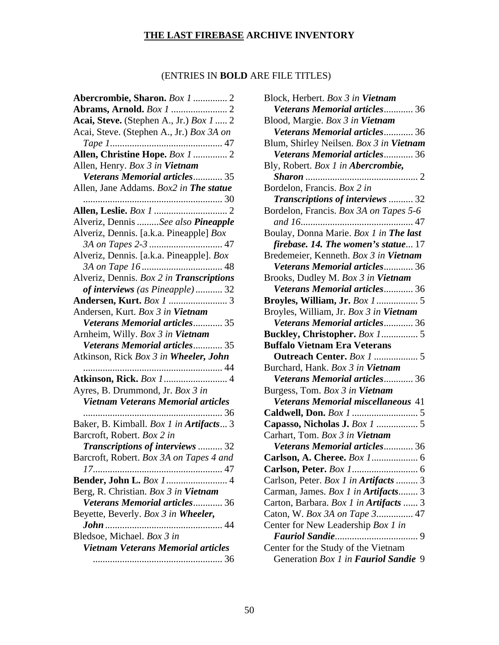## (ENTRIES IN **BOLD** ARE FILE TITLES)

| Abercrombie, Sharon. Box 1  2                                           |
|-------------------------------------------------------------------------|
|                                                                         |
| Acai, Steve. (Stephen A., Jr.) Box 1  2                                 |
| Acai, Steve. (Stephen A., Jr.) Box 3A on                                |
|                                                                         |
| Allen, Christine Hope. Box 1  2                                         |
| Allen, Henry. Box 3 in Vietnam                                          |
| Veterans Memorial articles 35                                           |
| Allen, Jane Addams. Box2 in The statue                                  |
|                                                                         |
|                                                                         |
| Alveriz, Dennis See also Pineapple                                      |
| Alveriz, Dennis. [a.k.a. Pineapple] Box                                 |
|                                                                         |
| Alveriz, Dennis. [a.k.a. Pineapple]. Box                                |
|                                                                         |
| Alveriz, Dennis. Box 2 in Transcriptions                                |
| of interviews (as Pineapple) 32                                         |
|                                                                         |
| Andersen, Kurt. Box 3 in Vietnam                                        |
| Veterans Memorial articles 35                                           |
| Arnheim, Willy. Box 3 in Vietnam                                        |
| <b>Veterans Memorial articles 35</b>                                    |
| Atkinson, Rick Box 3 in Wheeler, John                                   |
|                                                                         |
|                                                                         |
| Ayres, B. Drummond, Jr. Box 3 in                                        |
| Vietnam Veterans Memorial articles                                      |
| 36<br>.                                                                 |
| Baker, B. Kimball. Box 1 in Artifacts 3                                 |
| Barcroft, Robert. Box 2 in                                              |
| Transcriptions of interviews  32                                        |
| Barcroft, Robert. Box 3A on Tapes 4 and                                 |
|                                                                         |
|                                                                         |
| Berg, R. Christian. Box 3 in Vietnam                                    |
| Veterans Memorial articles 36                                           |
| Beyette, Beverly. Box 3 in Wheeler,                                     |
|                                                                         |
| Bledsoe, Michael. Box 3 in<br><b>Vietnam Veterans Memorial articles</b> |
|                                                                         |
|                                                                         |

| Block, Herbert. Box 3 in Vietnam                                            |
|-----------------------------------------------------------------------------|
| Veterans Memorial articles 36                                               |
| Blood, Margie. Box 3 in Vietnam                                             |
| Veterans Memorial articles 36                                               |
| Blum, Shirley Neilsen. Box 3 in Vietnam                                     |
| Veterans Memorial articles 36                                               |
| Bly, Robert. Box 1 in Abercrombie,                                          |
|                                                                             |
| Bordelon, Francis. Box 2 in                                                 |
| Transcriptions of interviews  32                                            |
| Bordelon, Francis. Box 3A on Tapes 5-6                                      |
|                                                                             |
| Boulay, Donna Marie. Box 1 in The last                                      |
| firebase. 14. The women's statue 17                                         |
| Bredemeier, Kenneth. Box 3 in Vietnam                                       |
| Veterans Memorial articles 36                                               |
| Brooks, Dudley M. Box 3 in Vietnam                                          |
| Veterans Memorial articles 36                                               |
| <b>Broyles, William, Jr. Box 1</b> 5                                        |
| Broyles, William, Jr. Box 3 in Vietnam                                      |
| Veterans Memorial articles 36                                               |
|                                                                             |
|                                                                             |
| <b>Buffalo Vietnam Era Veterans</b>                                         |
|                                                                             |
| Burchard, Hank. Box 3 in Vietnam                                            |
| Veterans Memorial articles 36                                               |
| Burgess, Tom. Box 3 in Vietnam                                              |
| Veterans Memorial miscellaneous 41                                          |
|                                                                             |
| Capasso, Nicholas J. Box 1  5                                               |
| Carhart, Tom. Box 3 in Vietnam                                              |
| Veterans Memorial articles 36                                               |
|                                                                             |
|                                                                             |
| Carlson, Peter. Box 1 in Artifacts  3                                       |
| Carman, James. Box 1 in Artifacts 3                                         |
| Carton, Barbara. Box 1 in Artifacts  3                                      |
| Caton, W. Box 3A on Tape 3 47                                               |
| Center for New Leadership Box 1 in                                          |
|                                                                             |
| Center for the Study of the Vietnam<br>Generation Box 1 in Fauriol Sandie 9 |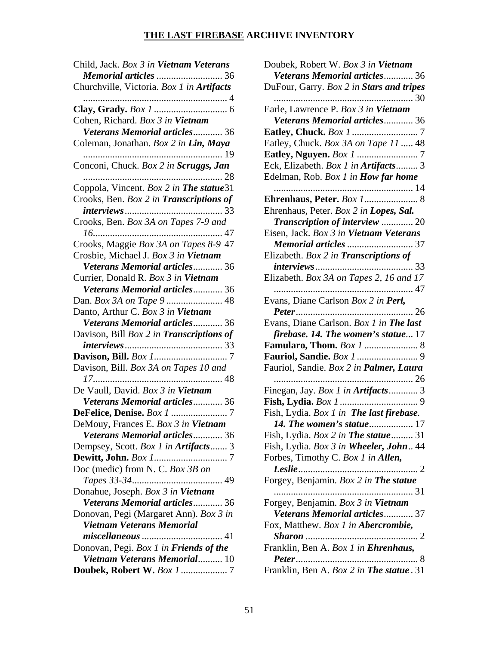| Child, Jack. Box 3 in Vietnam Veterans    |
|-------------------------------------------|
| Memorial articles  36                     |
| Churchville, Victoria. Box 1 in Artifacts |
|                                           |
|                                           |
| Cohen, Richard. Box 3 in Vietnam          |
| Veterans Memorial articles 36             |
| Coleman, Jonathan. Box 2 in Lin, Maya     |
|                                           |
| Conconi, Chuck. Box 2 in Scruggs, Jan     |
|                                           |
| Coppola, Vincent. Box 2 in The statue31   |
| Crooks, Ben. Box 2 in Transcriptions of   |
|                                           |
| Crooks, Ben. Box 3A on Tapes 7-9 and      |
|                                           |
| Crooks, Maggie Box 3A on Tapes 8-9 47     |
| Crosbie, Michael J. Box 3 in Vietnam      |
| Veterans Memorial articles 36             |
| Currier, Donald R. Box 3 in Vietnam       |
| Veterans Memorial articles 36             |
|                                           |
| Danto, Arthur C. Box 3 in Vietnam         |
|                                           |
| Veterans Memorial articles 36             |
| Davison, Bill Box 2 in Transcriptions of  |
|                                           |
|                                           |
| Davison, Bill. Box 3A on Tapes 10 and     |
| De Vaull, David. Box 3 in Vietnam         |
| Veterans Memorial articles 36             |
|                                           |
|                                           |
| DeMouy, Frances E. Box 3 in Vietnam       |
| Veterans Memorial articles 36             |
| Dempsey, Scott. Box 1 in Artifacts 3      |
|                                           |
| Doc (medic) from N. C. Box 3B on          |
|                                           |
| Donahue, Joseph. Box 3 in Vietnam         |
| Veterans Memorial articles 36             |
| Donovan, Pegi (Margaret Ann). Box 3 in    |
| <b>Vietnam Veterans Memorial</b>          |
| $\dots$ 41                                |
| Donovan, Pegi. Box 1 in Friends of the    |
| Vietnam Veterans Memorial 10              |
|                                           |

| Doubek, Robert W. Box 3 in Vietnam                                            |
|-------------------------------------------------------------------------------|
| Veterans Memorial articles 36                                                 |
| DuFour, Garry. Box 2 in Stars and tripes                                      |
|                                                                               |
| Earle, Lawrence P. Box 3 in Vietnam                                           |
| Veterans Memorial articles 36                                                 |
|                                                                               |
| Eatley, Chuck. Box 3A on Tape 11  48                                          |
|                                                                               |
| Eck, Elizabeth. Box 1 in Artifacts 3                                          |
| Edelman, Rob. Box 1 in How far home                                           |
|                                                                               |
| Ehrenhaus, Peter. Box 1 8                                                     |
| Ehrenhaus, Peter. Box 2 in Lopes, Sal.                                        |
| Transcription of interview  20                                                |
| Eisen, Jack. Box 3 in Vietnam Veterans                                        |
| Memorial articles  37                                                         |
| Elizabeth. Box 2 in Transcriptions of                                         |
|                                                                               |
| Elizabeth. Box 3A on Tapes 2, 16 and 17                                       |
| 47                                                                            |
| Evans, Diane Carlson Box 2 in Perl,                                           |
|                                                                               |
| Evans, Diane Carlson. Box 1 in The last                                       |
| firebase. 14. The women's statue 17                                           |
|                                                                               |
|                                                                               |
| Fauriol, Sandie. Box 2 in Palmer, Laura                                       |
|                                                                               |
| Finegan, Jay. Box 1 in Artifacts 3                                            |
|                                                                               |
| Fish, Lydia. Box 1 in The last firebase.<br>14. The women's statue 17         |
|                                                                               |
| Fish, Lydia. Box 2 in The statue 31<br>Fish, Lydia. Box 3 in Wheeler, John 44 |
| Forbes, Timothy C. Box 1 in Allen,                                            |
| 2                                                                             |
| Forgey, Benjamin. Box 2 in The statue                                         |
|                                                                               |
| Forgey, Benjamin. Box 3 in Vietnam                                            |
| Veterans Memorial articles 37                                                 |
| Fox, Matthew. Box 1 in Abercrombie,                                           |
|                                                                               |
| Franklin, Ben A. Box 1 in Ehrenhaus,                                          |
|                                                                               |
|                                                                               |
| Franklin, Ben A. Box 2 in The statue . 31                                     |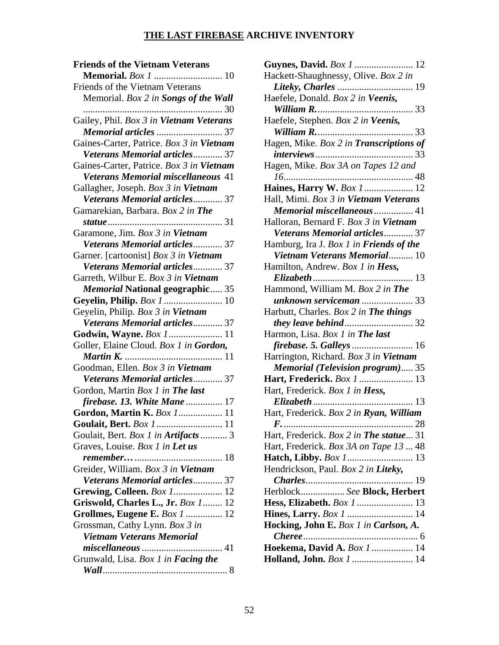| <b>Friends of the Vietnam Veterans</b>            |
|---------------------------------------------------|
| <b>Memorial.</b> <i>Box 1</i> 10                  |
| Friends of the Vietnam Veterans                   |
| Memorial. Box 2 in Songs of the Wall              |
|                                                   |
| Gailey, Phil. Box 3 in Vietnam Veterans           |
| Memorial articles  37                             |
| Gaines-Carter, Patrice. Box 3 in Vietnam          |
| Veterans Memorial articles 37                     |
| Gaines-Carter, Patrice. Box 3 in Vietnam          |
| <b>Veterans Memorial miscellaneous 41</b>         |
| Gallagher, Joseph. Box 3 in Vietnam               |
| Veterans Memorial articles 37                     |
| Gamarekian, Barbara. Box 2 in The                 |
| statue<br>31                                      |
| Garamone, Jim. Box 3 in Vietnam                   |
| Veterans Memorial articles 37                     |
| Garner. [cartoonist] Box 3 in Vietnam             |
| Veterans Memorial articles 37                     |
| Garreth, Wilbur E. Box 3 in Vietnam               |
| <b>Memorial National geographic 35</b>            |
|                                                   |
| Geyelin, Philip. Box 3 in Vietnam                 |
| Veterans Memorial articles 37                     |
|                                                   |
| Goller, Elaine Cloud. Box 1 in Gordon,            |
|                                                   |
| Goodman, Ellen. Box 3 in Vietnam                  |
| Veterans Memorial articles 37                     |
| Gordon, Martin Box 1 in The last                  |
| firebase. 13. White Mane  17                      |
| Gordon, Martin K. Box 1 11                        |
| Goulait, Bert. Box 1 11                           |
| Goulait, Bert. Box 1 in Artifacts  3              |
| Graves, Louise. Box 1 in Let us                   |
|                                                   |
| Greider, William. Box 3 in Vietnam                |
| Veterans Memorial articles 37                     |
|                                                   |
| <b>Grewing, Colleen.</b> Box 1 12                 |
| Griswold, Charles L., Jr. Box 1 12                |
| Grollmes, Eugene E. Box 1  12                     |
| Grossman, Cathy Lynn. Box 3 in                    |
| <b>Vietnam Veterans Memorial</b>                  |
| miscellaneous<br>. 41                             |
| Grunwald, Lisa. <i>Box 1 in <b>Facing the</b></i> |
|                                                   |

| Guynes, David. Box 1  12<br>Hackett-Shaughnessy, Olive. Box 2 in |
|------------------------------------------------------------------|
|                                                                  |
|                                                                  |
|                                                                  |
| Haefele, Donald. Box 2 in Veenis,                                |
| William R.<br>33                                                 |
| Haefele, Stephen. Box 2 in Veenis,                               |
|                                                                  |
| Hagen, Mike. Box 2 in Transcriptions of                          |
|                                                                  |
|                                                                  |
| Hagen, Mike. Box 3A on Tapes 12 and                              |
| $16$                                                             |
| Haines, Harry W. Box 1 12                                        |
| Hall, Mimi. Box 3 in Vietnam Veterans                            |
| Memorial miscellaneous  41                                       |
| Halloran, Bernard F. Box 3 in Vietnam                            |
| <b>Veterans Memorial articles 37</b>                             |
| Hamburg, Ira J. Box 1 in Friends of the                          |
| Vietnam Veterans Memorial 10                                     |
| Hamilton, Andrew. Box 1 in <b>Hess</b> ,                         |
|                                                                  |
| Hammond, William M. Box 2 in The                                 |
| <b>unknown serviceman </b> 33                                    |
| Harbutt, Charles. Box 2 in The things                            |
|                                                                  |
| Harmon, Lisa. Box 1 in The last                                  |
|                                                                  |
| Harrington, Richard. Box 3 in Vietnam                            |
| <b>Memorial (Television program) 35</b>                          |
|                                                                  |
|                                                                  |
| Hart, Frederick. Box 1  13                                       |
| Hart, Frederick. Box 1 in Hess,                                  |
| Elizabeth<br>$\dots$ 13                                          |
| Hart, Frederick. Box 2 in Ryan, William                          |
|                                                                  |
| Hart, Frederick. Box 2 in The statue 31                          |
| Hart, Frederick. Box 3A on Tape 13  48                           |
|                                                                  |
| Hendrickson, Paul. Box 2 in Liteky,                              |
|                                                                  |
| Herblock See Block, Herbert                                      |
| Hess, Elizabeth. Box 1  13                                       |
| Hines, Larry. Box 1  14                                          |
| Hocking, John E. Box 1 in Carlson, A.                            |
|                                                                  |
| Hoekema, David A. Box 1  14                                      |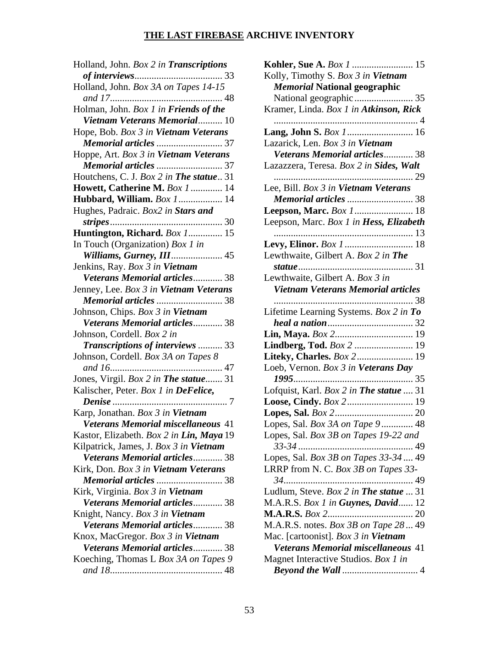| Holland, John. Box 2 in Transcriptions    |
|-------------------------------------------|
|                                           |
| Holland, John. Box 3A on Tapes 14-15      |
| Holman, John. Box 1 in Friends of the     |
| Vietnam Veterans Memorial 10              |
| Hope, Bob. Box 3 in Vietnam Veterans      |
| Memorial articles  37                     |
| Hoppe, Art. Box 3 in Vietnam Veterans     |
|                                           |
| Houtchens, C. J. Box 2 in The statue 31   |
| <b>Howett, Catherine M. Box 1  14</b>     |
| <b>Hubbard, William.</b> Box 1 14         |
| Hughes, Padraic. Box2 in Stars and        |
|                                           |
| Huntington, Richard. Box 1 15             |
| In Touch (Organization) Box 1 in          |
| Williams, Gurney, III 45                  |
| Jenkins, Ray. Box 3 in Vietnam            |
| Veterans Memorial articles 38             |
| Jenney, Lee. Box 3 in Vietnam Veterans    |
| Memorial articles  38                     |
| Johnson, Chips. Box 3 in Vietnam          |
| Veterans Memorial articles 38             |
| Johnson, Cordell. Box 2 in                |
| Transcriptions of interviews  33          |
| Johnson, Cordell. Box 3A on Tapes 8       |
| and 16                                    |
| Jones, Virgil. Box 2 in The statue 31     |
| Kalischer, Peter. Box 1 in DeFelice,      |
|                                           |
| Karp, Jonathan. Box 3 in Vietnam          |
| <b>Veterans Memorial miscellaneous 41</b> |
| Kastor, Elizabeth. Box 2 in Lin, Maya 19  |
| Kilpatrick, James, J. Box 3 in Vietnam    |
| Veterans Memorial articles 38             |
| Kirk, Don. Box 3 in Vietnam Veterans      |
| Memorial articles  38                     |
| Kirk, Virginia. Box 3 in Vietnam          |
| Veterans Memorial articles 38             |
| Knight, Nancy. Box 3 in Vietnam           |
| Veterans Memorial articles 38             |
| Knox, MacGregor. Box 3 in Vietnam         |
| Veterans Memorial articles 38             |
| Koeching, Thomas L Box 3A on Tapes 9      |
|                                           |

| Kohler, Sue A. Box 1  15                    |
|---------------------------------------------|
| Kolly, Timothy S. Box 3 in Vietnam          |
| <b>Memorial National geographic</b>         |
| National geographic  35                     |
| Kramer, Linda. Box 1 in Atkinson, Rick      |
|                                             |
|                                             |
| Lazarick, Len. Box 3 in Vietnam             |
| Veterans Memorial articles 38               |
| Lazazzera, Teresa. Box 2 in Sides, Walt     |
|                                             |
| Lee, Bill. Box 3 in Vietnam Veterans        |
| Memorial articles  38                       |
| Leepson, Marc. Box 1 18                     |
| Leepson, Marc. Box 1 in Hess, Elizabeth     |
|                                             |
|                                             |
| Lewthwaite, Gilbert A. Box 2 in The         |
|                                             |
| Lewthwaite, Gilbert A. Box 3 in             |
| Vietnam Veterans Memorial articles          |
| 38<br>.                                     |
| .<br>Lifetime Learning Systems. Box 2 in To |
|                                             |
|                                             |
| Lindberg, Tod. Box 2  19                    |
| Liteky, Charles. Box 2 19                   |
| Loeb, Vernon. Box 3 in Veterans Day         |
|                                             |
| Lofquist, Karl. Box 2 in The statue  31     |
|                                             |
|                                             |
| Lopes, Sal. Box 3A on Tape 9  48            |
| Lopes, Sal. Box 3B on Tapes 19-22 and       |
|                                             |
| Lopes, Sal. Box 3B on Tapes 33-34  49       |
| LRRP from N. C. Box 3B on Tapes 33-         |
|                                             |
| Ludlum, Steve. Box 2 in The statue  31      |
| M.A.R.S. Box 1 in Guynes, David 12          |
|                                             |
| M.A.R.S. notes. Box 3B on Tape 28  49       |
| Mac. [cartoonist]. Box 3 in Vietnam         |
| Veterans Memorial miscellaneous 41          |
| Magnet Interactive Studios. Box 1 in        |
|                                             |
|                                             |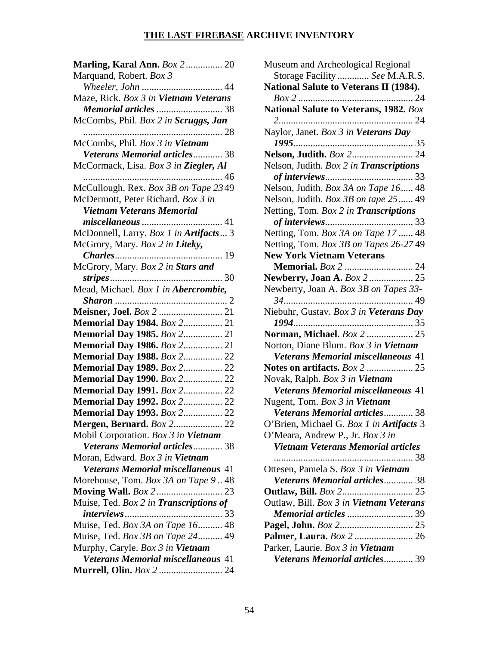| Marling, Karal Ann. Box 2 20                  |
|-----------------------------------------------|
| Marquand, Robert. Box 3                       |
|                                               |
| Maze, Rick. Box 3 in Vietnam Veterans         |
| Memorial articles  38                         |
| McCombs, Phil. Box 2 in Scruggs, Jan          |
| . 28                                          |
| McCombs, Phil. Box 3 in Vietnam               |
| Veterans Memorial articles 38                 |
| McCormack, Lisa. Box 3 in Ziegler, Al         |
|                                               |
| McCullough, Rex. Box 3B on Tape 2349          |
| McDermott, Peter Richard. Box 3 in            |
| <b>Vietnam Veterans Memorial</b>              |
| $\blacksquare$ 41                             |
| McDonnell, Larry. Box 1 in Artifacts  3       |
| McGrory, Mary. Box 2 in Liteky,               |
|                                               |
| McGrory, Mary. Box 2 in Stars and             |
|                                               |
| Mead, Michael. Box 1 in Abercrombie,          |
|                                               |
|                                               |
| <b>Memorial Day 1984.</b> Box 2 21            |
| <b>Memorial Day 1985.</b> Box 2 21            |
| <b>Memorial Day 1986.</b> Box 2 21            |
| Memorial Day 1988. Box 2 22                   |
| Memorial Day 1989. Box 2 22                   |
| <b>Memorial Day 1990.</b> Box 2 22            |
| <b>Memorial Day 1991.</b> Box 2 22            |
| Memorial Day 1992. Box 2 22                   |
| <b>Memorial Day 1993.</b> Box 2 22            |
| <b>Mergen, Bernard.</b> Box 2 22              |
| Mobil Corporation. Box 3 in Vietnam           |
| Veterans Memorial articles 38                 |
| Moran, Edward. Box 3 in Vietnam               |
| Veterans Memorial miscellaneous 41            |
| Morehouse, Tom. Box 3A on Tape 948            |
|                                               |
| Muise, Ted. Box 2 in <b>Transcriptions of</b> |
|                                               |
| Muise, Ted. Box 3A on Tape 16 48              |
| Muise, Ted. Box 3B on Tape 24 49              |
| Murphy, Caryle. Box 3 in Vietnam              |
| Veterans Memorial miscellaneous 41            |
| Murrell, Olin. Box 2  24                      |

| Museum and Archeological Regional                                           |
|-----------------------------------------------------------------------------|
| Storage Facility  See M.A.R.S.                                              |
| National Salute to Veterans II (1984).                                      |
|                                                                             |
| National Salute to Veterans, 1982. Box                                      |
|                                                                             |
| Naylor, Janet. Box 3 in Veterans Day                                        |
|                                                                             |
| Nelson, Judith. Box 2 24                                                    |
| Nelson, Judith. Box 2 in Transcriptions                                     |
|                                                                             |
| Nelson, Judith. Box 3A on Tape 16 48                                        |
| Nelson, Judith. Box 3B on tape 25  49                                       |
| Netting, Tom. Box 2 in Transcriptions                                       |
|                                                                             |
| Netting, Tom. Box 3A on Tape 17  48                                         |
| Netting, Tom. Box 3B on Tapes 26-27 49                                      |
| <b>New York Vietnam Veterans</b>                                            |
| <b>Memorial.</b> Box 2  24                                                  |
| Newberry, Joan A. Box 2  25                                                 |
| Newberry, Joan A. Box 3B on Tapes 33-                                       |
|                                                                             |
| Niebuhr, Gustav. Box 3 in Veterans Day                                      |
|                                                                             |
| Norman, Michael. Box 2  25                                                  |
|                                                                             |
|                                                                             |
| Norton, Diane Blum. Box 3 in Vietnam                                        |
| Veterans Memorial miscellaneous 41                                          |
| <b>Notes on artifacts.</b> <i>Box 2</i> 25                                  |
| Novak, Ralph. Box 3 in Vietnam<br><b>Veterans Memorial miscellaneous 41</b> |
|                                                                             |
| Nugent, Tom. Box 3 in Vietnam                                               |
| Veterans Memorial articles 38                                               |
| O'Brien, Michael G. Box 1 in Artifacts 3                                    |
| O'Meara, Andrew P., Jr. Box 3 in                                            |
| <b>Vietnam Veterans Memorial articles</b><br>. 38                           |
|                                                                             |
| Ottesen, Pamela S. Box 3 in Vietnam                                         |
| <b>Veterans Memorial articles 38</b>                                        |
| <b>Outlaw, Bill.</b> <i>Box 2</i> 25                                        |
| Outlaw, Bill. Box 3 in Vietnam Veterans                                     |
|                                                                             |
|                                                                             |
| Palmer, Laura. Box 2  26                                                    |
| Parker, Laurie. Box 3 in Vietnam<br>Veterans Memorial articles 39           |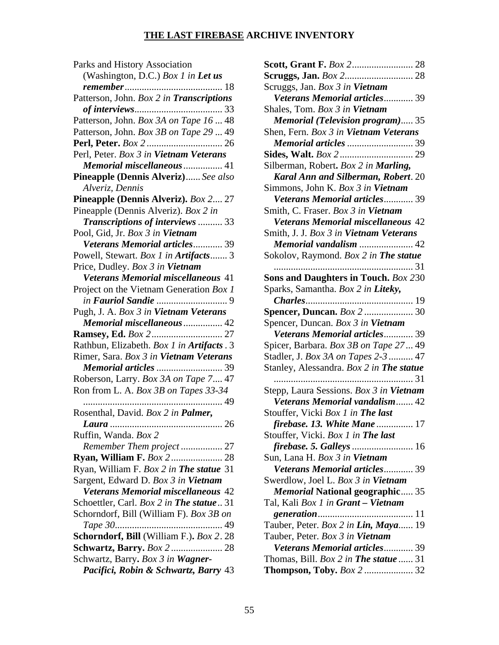| Parks and History Association              |
|--------------------------------------------|
| (Washington, D.C.) Box 1 in Let us         |
| 18                                         |
| Patterson, John. Box 2 in Transcriptions   |
|                                            |
| Patterson, John. Box 3A on Tape 16  48     |
| Patterson, John. Box 3B on Tape 29  49     |
|                                            |
| Perl, Peter. Box 3 in Vietnam Veterans     |
| Memorial miscellaneous  41                 |
| Pineapple (Dennis Alveriz) See also        |
| Alveriz, Dennis                            |
| Pineapple (Dennis Alveriz). Box 2 27       |
| Pineapple (Dennis Alveriz). Box 2 in       |
| Transcriptions of interviews  33           |
| Pool, Gid, Jr. Box 3 in Vietnam            |
| Veterans Memorial articles 39              |
| Powell, Stewart. Box 1 in Artifacts 3      |
| Price, Dudley. Box 3 in Vietnam            |
| Veterans Memorial miscellaneous 41         |
| Project on the Vietnam Generation Box 1    |
|                                            |
| Pugh, J. A. Box 3 in Vietnam Veterans      |
| <b>Memorial miscellaneous  42</b>          |
|                                            |
| Rathbun, Elizabeth. Box 1 in Artifacts . 3 |
| Rimer, Sara. Box 3 in Vietnam Veterans     |
| Memorial articles  39                      |
| Roberson, Larry. Box 3A on Tape 7 47       |
| Ron from L. A. Box 3B on Tapes 33-34       |
| . 49                                       |
| Rosenthal, David. Box 2 in Palmer,         |
| .26<br><i>Laura</i>                        |
| Ruffin, Wanda. Box 2                       |
| Remember Them project  27                  |
| <b>Ryan, William F. Box 2 28</b>           |
| Ryan, William F. Box 2 in The statue 31    |
| Sargent, Edward D. Box 3 in Vietnam        |
| <b>Veterans Memorial miscellaneous 42</b>  |
| Schoettler, Carl. Box 2 in The statue  31  |
| Schorndorf, Bill (William F). Box 3B on    |
|                                            |
| Schorndorf, Bill (William F.). Box 2.28    |
| <b>Schwartz, Barry.</b> Box 2  28          |
| Schwartz, Barry. Box 3 in Wagner-          |
| Pacifici, Robin & Schwartz, Barry 43       |

| <b>Scruggs, Jan.</b> <i>Box 2</i> 28                                              |
|-----------------------------------------------------------------------------------|
| Scruggs, Jan. Box 3 in Vietnam                                                    |
| Veterans Memorial articles 39                                                     |
| Shales, Tom. Box 3 in Vietnam                                                     |
| <b>Memorial (Television program)35</b>                                            |
| Shen, Fern. Box 3 in Vietnam Veterans                                             |
| Memorial articles  39                                                             |
|                                                                                   |
| Silberman, Robert. Box 2 in Marling,                                              |
| Karal Ann and Silberman, Robert. 20                                               |
| Simmons, John K. Box 3 in Vietnam                                                 |
| <b>Veterans Memorial articles 39</b>                                              |
| Smith, C. Fraser. Box 3 in Vietnam                                                |
| <b>Veterans Memorial miscellaneous 42</b>                                         |
| Smith, J. J. Box 3 in Vietnam Veterans                                            |
| Memorial vandalism  42                                                            |
| Sokolov, Raymond. Box 2 in The statue                                             |
|                                                                                   |
| Sons and Daughters in Touch. Box 230                                              |
| Sparks, Samantha. Box 2 in Liteky,                                                |
|                                                                                   |
| <b>Spencer, Duncan.</b> Box 2  30                                                 |
| Spencer, Duncan. Box 3 in Vietnam                                                 |
| Veterans Memorial articles 39                                                     |
| Spicer, Barbara. Box 3B on Tape 27 49                                             |
| Stadler, J. Box 3A on Tapes 2-3  47                                               |
| Stanley, Alessandra. Box 2 in The statue                                          |
|                                                                                   |
| Stepp, Laura Sessions. Box 3 in Vietnam<br>Veterans Memorial vandalism 42         |
|                                                                                   |
| Stouffer, Vicki Box 1 in The last<br>17                                           |
| firebase. 13. White Mane<br>Stouffer, Vicki. Box 1 in The last                    |
|                                                                                   |
| Sun, Lana H. Box 3 in Vietnam                                                     |
| Veterans Memorial articles 39                                                     |
| Swerdlow, Joel L. Box 3 in Vietnam                                                |
| <b>Memorial National geographic</b> 35                                            |
| Tal, Kali Box 1 in Grant - Vietnam                                                |
| generation<br>11                                                                  |
| Tauber, Peter. Box 2 in Lin, Maya 19                                              |
| Tauber, Peter. Box 3 in Vietnam                                                   |
| Veterans Memorial articles 39                                                     |
|                                                                                   |
|                                                                                   |
| Thomas, Bill. $Box 2$ in <b>The statue</b> 31<br><b>Thompson, Toby.</b> Box 2  32 |